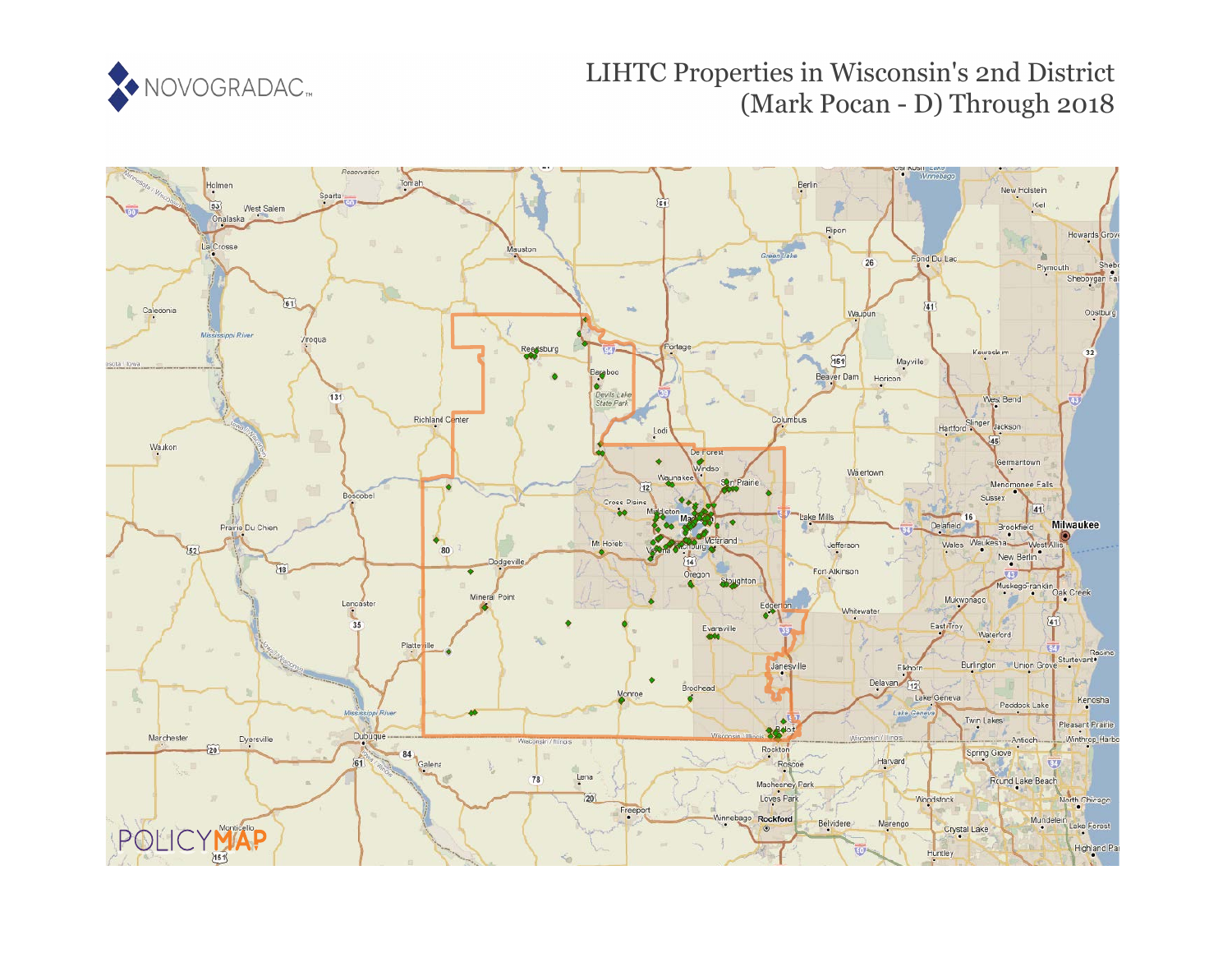

# LIHTC Properties in Wisconsin's 2nd District (Mark Pocan - D) Through 2018

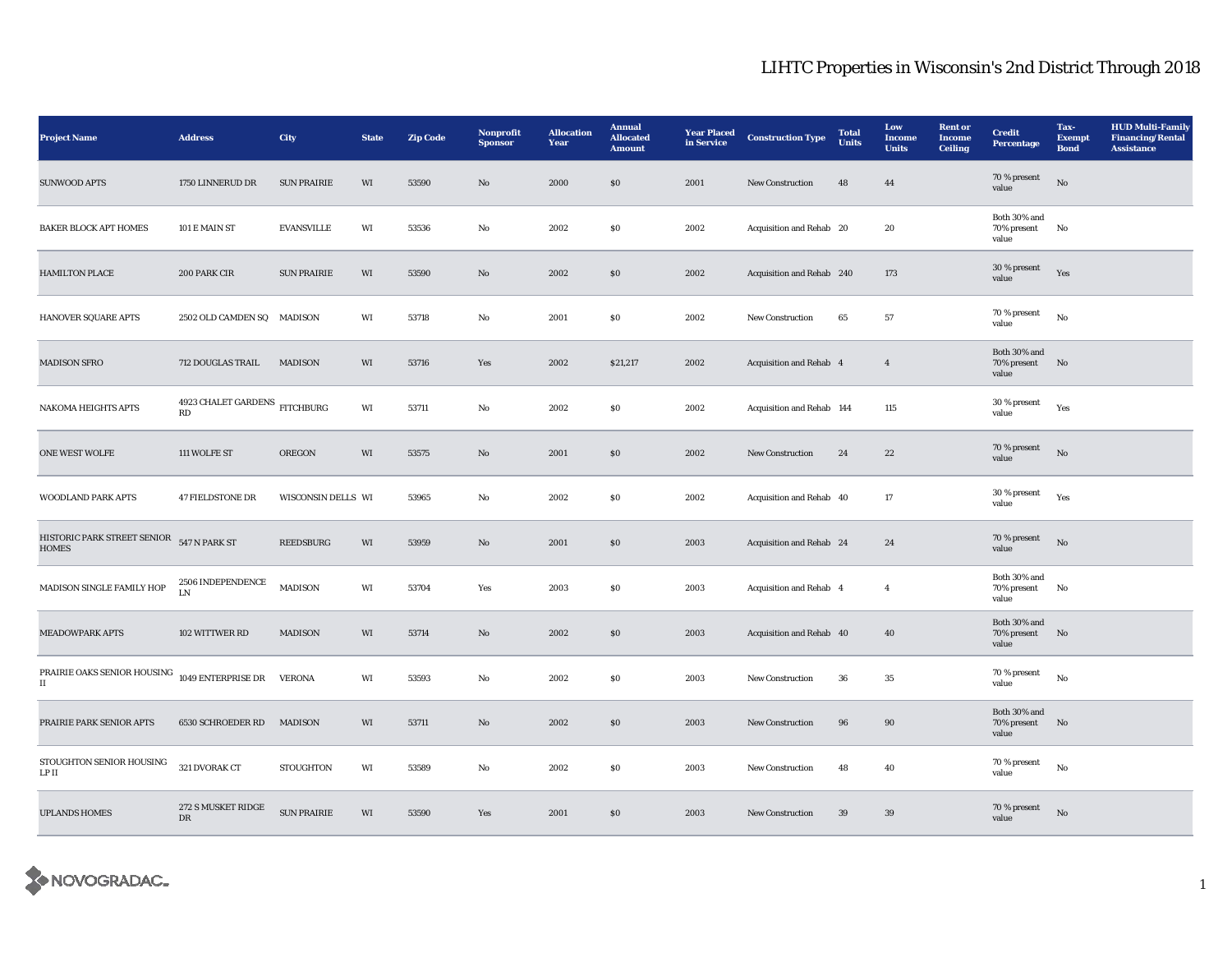| <b>Project Name</b>                         | <b>Address</b>                                                  | City               | <b>State</b> | <b>Zip Code</b> | Nonprofit<br><b>Sponsor</b> | <b>Allocation</b><br>Year | <b>Annual</b><br><b>Allocated</b><br><b>Amount</b> | <b>Year Placed</b><br>in Service | <b>Construction Type</b>  | <b>Total</b><br><b>Units</b> | Low<br>Income<br><b>Units</b> | <b>Rent</b> or<br><b>Income</b><br><b>Ceiling</b> | <b>Credit</b><br><b>Percentage</b>      | Tax-<br><b>Exempt</b><br><b>Bond</b> | <b>HUD Multi-Family</b><br><b>Financing/Rental</b><br><b>Assistance</b> |
|---------------------------------------------|-----------------------------------------------------------------|--------------------|--------------|-----------------|-----------------------------|---------------------------|----------------------------------------------------|----------------------------------|---------------------------|------------------------------|-------------------------------|---------------------------------------------------|-----------------------------------------|--------------------------------------|-------------------------------------------------------------------------|
| <b>SUNWOOD APTS</b>                         | 1750 LINNERUD DR                                                | <b>SUN PRAIRIE</b> | WI           | 53590           | $\rm No$                    | 2000                      | $\$0$                                              | 2001                             | New Construction          | 48                           | 44                            |                                                   | $70\,\%$ present<br>value               | $\rm No$                             |                                                                         |
| <b>BAKER BLOCK APT HOMES</b>                | 101 E MAIN ST                                                   | <b>EVANSVILLE</b>  | WI           | 53536           | No                          | 2002                      | $\boldsymbol{\mathsf{S}}\boldsymbol{\mathsf{0}}$   | 2002                             | Acquisition and Rehab 20  |                              | 20                            |                                                   | Both 30% and<br>70% present<br>value    | No                                   |                                                                         |
| <b>HAMILTON PLACE</b>                       | 200 PARK CIR                                                    | <b>SUN PRAIRIE</b> | WI           | 53590           | No                          | 2002                      | $\$0$                                              | 2002                             | Acquisition and Rehab 240 |                              | 173                           |                                                   | 30 % present<br>value                   | Yes                                  |                                                                         |
| HANOVER SQUARE APTS                         | 2502 OLD CAMDEN SQ MADISON                                      |                    | WI           | 53718           | No                          | 2001                      | \$0\$                                              | 2002                             | <b>New Construction</b>   | 65                           | 57                            |                                                   | 70 % present<br>value                   | No                                   |                                                                         |
| <b>MADISON SFRO</b>                         | 712 DOUGLAS TRAIL                                               | <b>MADISON</b>     | WI           | 53716           | Yes                         | 2002                      | \$21,217                                           | 2002                             | Acquisition and Rehab 4   |                              | $\overline{4}$                |                                                   | Both 30% and<br>70% present<br>value    | No                                   |                                                                         |
| <b>NAKOMA HEIGHTS APTS</b>                  | 4923 CHALET GARDENS $$\rm FITCHBURG$$<br>$\mathbf{R}\mathbf{D}$ |                    | WI           | 53711           | No                          | 2002                      | <b>SO</b>                                          | 2002                             | Acquisition and Rehab 144 |                              | 115                           |                                                   | 30 % present<br>value                   | Yes                                  |                                                                         |
| <b>ONE WEST WOLFE</b>                       | 111 WOLFE ST                                                    | <b>OREGON</b>      | WI           | 53575           | No                          | 2001                      | \$0                                                | 2002                             | <b>New Construction</b>   | 24                           | 22                            |                                                   | 70 % present<br>value                   | $\rm No$                             |                                                                         |
| <b>WOODLAND PARK APTS</b>                   | <b>47 FIELDSTONE DR</b>                                         | WISCONSIN DELLS WI |              | 53965           | No                          | 2002                      | SO.                                                | 2002                             | Acquisition and Rehab 40  |                              | 17                            |                                                   | $30\,\%$ present<br>value               | Yes                                  |                                                                         |
| HISTORIC PARK STREET SENIOR<br><b>HOMES</b> | 547 N PARK ST                                                   | <b>REEDSBURG</b>   | WI           | 53959           | $\mathbf{N}\mathbf{o}$      | 2001                      | \$0\$                                              | 2003                             | Acquisition and Rehab 24  |                              | 24                            |                                                   | 70 % present<br>value                   | No                                   |                                                                         |
| MADISON SINGLE FAMILY HOP                   | 2506 INDEPENDENCE<br>${\rm LN}$                                 | <b>MADISON</b>     | WI           | 53704           | Yes                         | 2003                      | $\$0$                                              | 2003                             | Acquisition and Rehab 4   |                              | $\overline{4}$                |                                                   | Both 30% and<br>70% present<br>value    | No                                   |                                                                         |
| <b>MEADOWPARK APTS</b>                      | 102 WITTWER RD                                                  | <b>MADISON</b>     | WI           | 53714           | No                          | 2002                      | \$0\$                                              | 2003                             | Acquisition and Rehab 40  |                              | 40                            |                                                   | Both 30% and<br>70% present<br>value    | No                                   |                                                                         |
| PRAIRIE OAKS SENIOR HOUSING<br>П            | $1049$ ENTERPRISE DR                                            | <b>VERONA</b>      | WI           | 53593           | No                          | 2002                      | \$0                                                | 2003                             | <b>New Construction</b>   | 36                           | $35\,$                        |                                                   | 70 % present<br>value                   | No                                   |                                                                         |
| PRAIRIE PARK SENIOR APTS                    | 6530 SCHROEDER RD                                               | <b>MADISON</b>     | WI           | 53711           | No                          | 2002                      | \$0\$                                              | 2003                             | <b>New Construction</b>   | 96                           | 90                            |                                                   | Both 30% and<br>70% present No<br>value |                                      |                                                                         |
| STOUGHTON SENIOR HOUSING<br>LP II           | 321 DVORAK CT                                                   | <b>STOUGHTON</b>   | WI           | 53589           | No                          | 2002                      | <b>SO</b>                                          | 2003                             | <b>New Construction</b>   | 48                           | 40                            |                                                   | 70 % present<br>value                   | $_{\rm No}$                          |                                                                         |
| <b>UPLANDS HOMES</b>                        | 272 S MUSKET RIDGE<br>$_{\rm DR}$                               | <b>SUN PRAIRIE</b> | WI           | 53590           | Yes                         | 2001                      | \$0\$                                              | 2003                             | New Construction          | $39\,$                       | $39\,$                        |                                                   | 70 % present<br>value                   | $\rm No$                             |                                                                         |

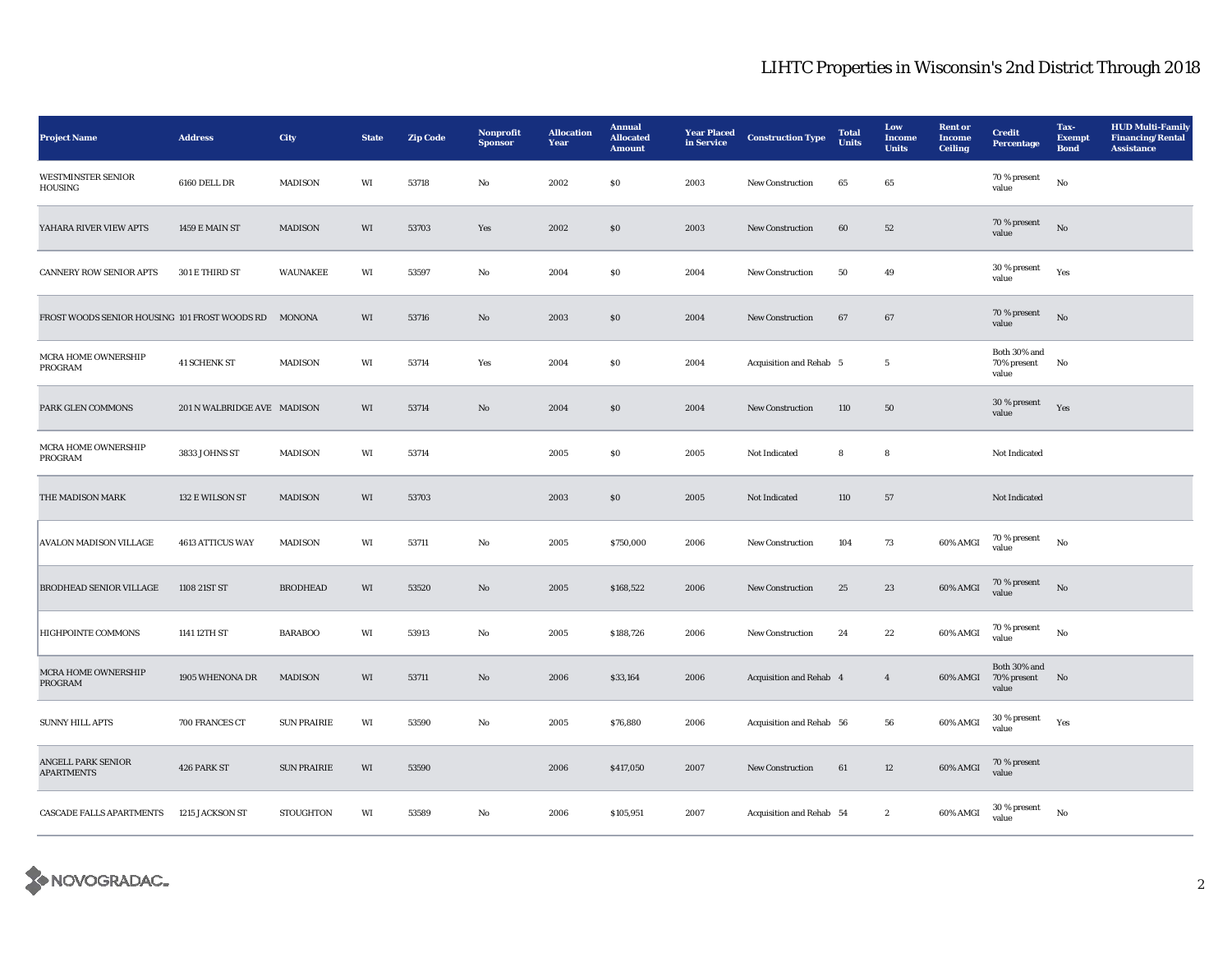| <b>Project Name</b>                           | <b>Address</b>              | City               | <b>State</b> | <b>Zip Code</b> | Nonprofit<br><b>Sponsor</b> | <b>Allocation</b><br>Year | <b>Annual</b><br><b>Allocated</b><br><b>Amount</b> | <b>Year Placed</b><br>in Service | <b>Construction Type</b> | <b>Total</b><br><b>Units</b> | Low<br><b>Income</b><br><b>Units</b> | <b>Rent or</b><br>Income<br><b>Ceiling</b> | <b>Credit</b><br><b>Percentage</b>   | Tax-<br><b>Exempt</b><br><b>Bond</b> | <b>HUD Multi-Family</b><br><b>Financing/Rental</b><br><b>Assistance</b> |
|-----------------------------------------------|-----------------------------|--------------------|--------------|-----------------|-----------------------------|---------------------------|----------------------------------------------------|----------------------------------|--------------------------|------------------------------|--------------------------------------|--------------------------------------------|--------------------------------------|--------------------------------------|-------------------------------------------------------------------------|
| <b>WESTMINSTER SENIOR</b><br><b>HOUSING</b>   | 6160 DELL DR                | <b>MADISON</b>     | WI           | 53718           | No                          | 2002                      | ${\bf S0}$                                         | 2003                             | New Construction         | $\bf 65$                     | $\bf 65$                             |                                            | 70 % present<br>value                | $\rm No$                             |                                                                         |
| YAHARA RIVER VIEW APTS                        | 1459 E MAIN ST              | <b>MADISON</b>     | WI           | 53703           | Yes                         | 2002                      | \$0                                                | 2003                             | <b>New Construction</b>  | 60                           | 52                                   |                                            | 70 % present<br>value                | No                                   |                                                                         |
| <b>CANNERY ROW SENIOR APTS</b>                | 301 E THIRD ST              | <b>WAUNAKEE</b>    | WI           | 53597           | No                          | 2004                      | \$0\$                                              | 2004                             | <b>New Construction</b>  | 50                           | 49                                   |                                            | 30 % present<br>value                | Yes                                  |                                                                         |
| FROST WOODS SENIOR HOUSING 101 FROST WOODS RD |                             | <b>MONONA</b>      | WI           | 53716           | $\mathbf{N}\mathbf{o}$      | 2003                      | $\$0$                                              | 2004                             | New Construction         | 67                           | 67                                   |                                            | 70 % present<br>value                | No                                   |                                                                         |
| MCRA HOME OWNERSHIP<br>PROGRAM                | <b>41 SCHENK ST</b>         | <b>MADISON</b>     | WI           | 53714           | Yes                         | 2004                      | <b>SO</b>                                          | 2004                             | Acquisition and Rehab 5  |                              | $5\phantom{.0}$                      |                                            | Both 30% and<br>70% present<br>value | No                                   |                                                                         |
| PARK GLEN COMMONS                             | 201 N WALBRIDGE AVE MADISON |                    | WI           | 53714           | No                          | 2004                      | \$0                                                | 2004                             | New Construction         | 110                          | 50                                   |                                            | 30 % present<br>value                | Yes                                  |                                                                         |
| MCRA HOME OWNERSHIP<br>PROGRAM                | 3833 JOHNS ST               | <b>MADISON</b>     | WI           | 53714           |                             | 2005                      | ${\bf S0}$                                         | 2005                             | Not Indicated            | ${\bf 8}$                    | ${\bf 8}$                            |                                            | Not Indicated                        |                                      |                                                                         |
| THE MADISON MARK                              | 132 E WILSON ST             | <b>MADISON</b>     | WI           | 53703           |                             | 2003                      | $\$0$                                              | 2005                             | Not Indicated            | 110                          | $57\,$                               |                                            | Not Indicated                        |                                      |                                                                         |
| <b>AVALON MADISON VILLAGE</b>                 | 4613 ATTICUS WAY            | <b>MADISON</b>     | WI           | 53711           | No                          | 2005                      | \$750,000                                          | 2006                             | <b>New Construction</b>  | 104                          | 73                                   | 60% AMGI                                   | $70$ % present<br>value              | No                                   |                                                                         |
| <b>BRODHEAD SENIOR VILLAGE</b>                | 1108 21ST ST                | <b>BRODHEAD</b>    | WI           | 53520           | No                          | 2005                      | \$168,522                                          | 2006                             | New Construction         | 25                           | 23                                   | 60% AMGI                                   | 70 % present<br>value                | No                                   |                                                                         |
| HIGHPOINTE COMMONS                            | 1141 12TH ST                | <b>BARABOO</b>     | WI           | 53913           | No                          | 2005                      | \$188,726                                          | 2006                             | New Construction         | 24                           | $\bf{22}$                            | 60% AMGI                                   | 70 % present<br>value                | No                                   |                                                                         |
| <b>MCRA HOME OWNERSHIP</b><br>PROGRAM         | 1905 WHENONA DR             | <b>MADISON</b>     | WI           | 53711           | $\mathbf{N}\mathbf{o}$      | 2006                      | \$33,164                                           | 2006                             | Acquisition and Rehab 4  |                              | $\overline{4}$                       | 60% AMGI                                   | Both 30% and<br>70% present<br>value | No                                   |                                                                         |
| <b>SUNNY HILL APTS</b>                        | 700 FRANCES CT              | <b>SUN PRAIRIE</b> | WI           | 53590           | No                          | 2005                      | \$76,880                                           | 2006                             | Acquisition and Rehab 56 |                              | 56                                   | 60% AMGI                                   | 30 % present<br>value                | Yes                                  |                                                                         |
| ANGELL PARK SENIOR<br><b>APARTMENTS</b>       | 426 PARK ST                 | <b>SUN PRAIRIE</b> | WI           | 53590           |                             | 2006                      | \$417,050                                          | 2007                             | <b>New Construction</b>  | 61                           | $12\,$                               | 60% AMGI                                   | 70 % present<br>value                |                                      |                                                                         |
| <b>CASCADE FALLS APARTMENTS</b>               | 1215 JACKSON ST             | <b>STOUGHTON</b>   | WI           | 53589           | No                          | 2006                      | \$105,951                                          | 2007                             | Acquisition and Rehab 54 |                              | $\boldsymbol{2}$                     | 60% AMGI                                   | 30 % present<br>value                | No                                   |                                                                         |

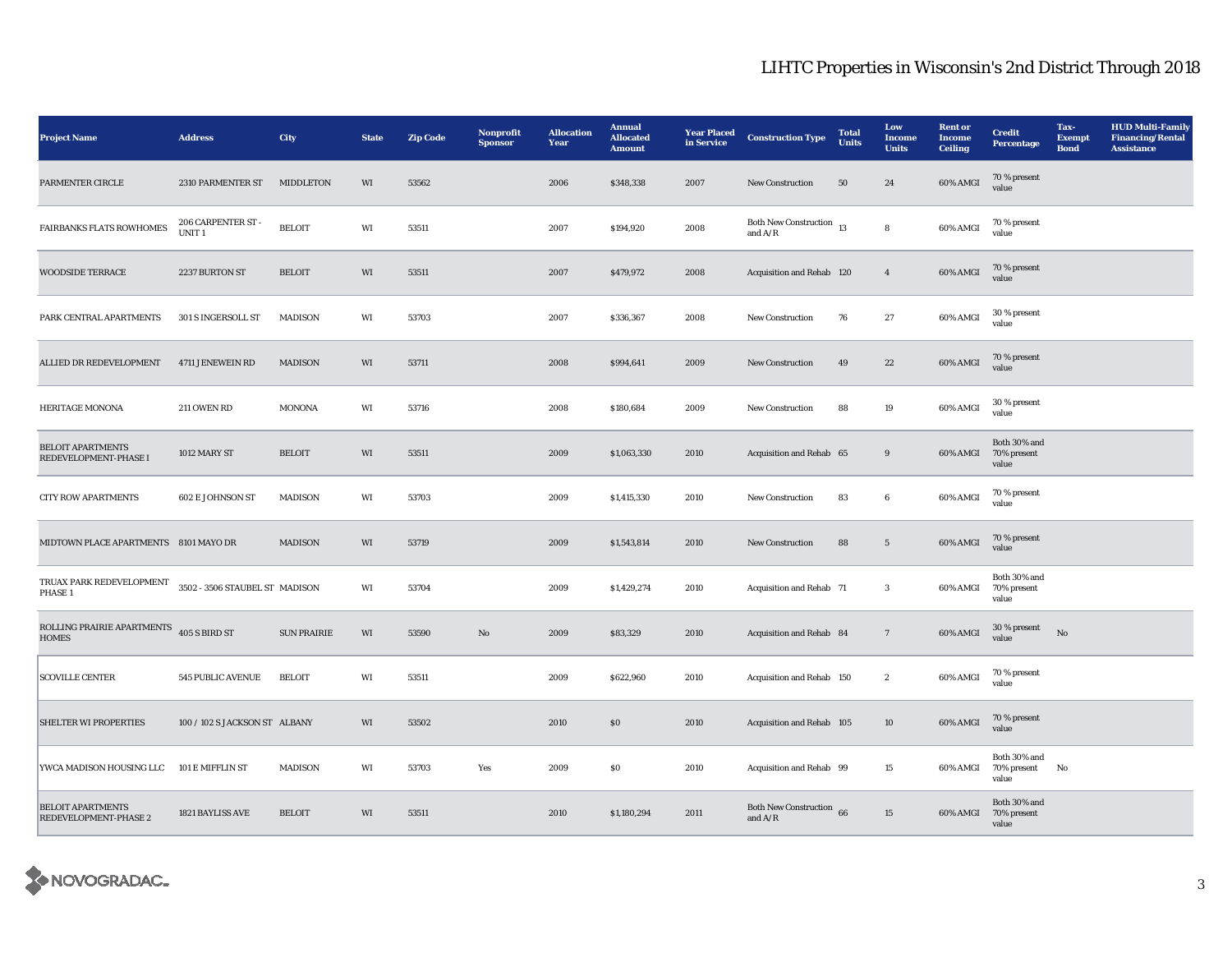| <b>Project Name</b>                                                                  | <b>Address</b>                          | City               | <b>State</b> | <b>Zip Code</b> | Nonprofit<br><b>Sponsor</b> | <b>Allocation</b><br>Year | <b>Annual</b><br><b>Allocated</b><br><b>Amount</b> | <b>Year Placed</b><br>in Service | <b>Construction Type</b>                     | <b>Total</b><br><b>Units</b> | Low<br>Income<br><b>Units</b> | <b>Rent</b> or<br><b>Income</b><br><b>Ceiling</b> | <b>Credit</b><br><b>Percentage</b>            | Tax-<br><b>Exempt</b><br><b>Bond</b> | <b>HUD Multi-Family</b><br><b>Financing/Rental</b><br><b>Assistance</b> |
|--------------------------------------------------------------------------------------|-----------------------------------------|--------------------|--------------|-----------------|-----------------------------|---------------------------|----------------------------------------------------|----------------------------------|----------------------------------------------|------------------------------|-------------------------------|---------------------------------------------------|-----------------------------------------------|--------------------------------------|-------------------------------------------------------------------------|
| PARMENTER CIRCLE                                                                     | 2310 PARMENTER ST                       | <b>MIDDLETON</b>   | WI           | 53562           |                             | 2006                      | \$348,338                                          | 2007                             | New Construction                             | 50                           | 24                            | 60% AMGI                                          | 70 % present<br>value                         |                                      |                                                                         |
| FAIRBANKS FLATS ROWHOMES                                                             | 206 CARPENTER ST -<br>UNIT <sub>1</sub> | <b>BELOIT</b>      | WI           | 53511           |                             | 2007                      | \$194,920                                          | 2008                             | Both New Construction $_{13}$<br>and $A/R$   |                              | ${\bf 8}$                     | 60% AMGI                                          | 70 % present<br>value                         |                                      |                                                                         |
| <b>WOODSIDE TERRACE</b>                                                              | 2237 BURTON ST                          | <b>BELOIT</b>      | WI           | 53511           |                             | 2007                      | \$479,972                                          | 2008                             | Acquisition and Rehab 120                    |                              | $\overline{4}$                | 60% AMGI                                          | 70 % present<br>value                         |                                      |                                                                         |
| PARK CENTRAL APARTMENTS                                                              | 301 S INGERSOLL ST                      | <b>MADISON</b>     | WI           | 53703           |                             | 2007                      | \$336,367                                          | 2008                             | New Construction                             | 76                           | 27                            | 60% AMGI                                          | 30 % present<br>value                         |                                      |                                                                         |
| ALLIED DR REDEVELOPMENT                                                              | 4711 JENEWEIN RD                        | <b>MADISON</b>     | WI           | 53711           |                             | 2008                      | \$994,641                                          | 2009                             | <b>New Construction</b>                      | 49                           | 22                            | 60% AMGI                                          | 70 % present<br>value                         |                                      |                                                                         |
| <b>HERITAGE MONONA</b>                                                               | 211 OWEN RD                             | <b>MONONA</b>      | WI           | 53716           |                             | 2008                      | \$180,684                                          | 2009                             | <b>New Construction</b>                      | 88                           | 19                            | 60% AMGI                                          | 30 % present<br>value                         |                                      |                                                                         |
| <b>BELOIT APARTMENTS</b><br>REDEVELOPMENT-PHASE I                                    | 1012 MARY ST                            | <b>BELOIT</b>      | WI           | 53511           |                             | 2009                      | \$1,063,330                                        | 2010                             | Acquisition and Rehab 65                     |                              | $9\,$                         | 60% AMGI                                          | Both 30% and<br>70% present<br>value          |                                      |                                                                         |
| <b>CITY ROW APARTMENTS</b>                                                           | 602 E JOHNSON ST                        | <b>MADISON</b>     | WI           | 53703           |                             | 2009                      | \$1,415,330                                        | 2010                             | New Construction                             | 83                           | $\bf 6$                       | 60% AMGI                                          | 70 % present<br>value                         |                                      |                                                                         |
| MIDTOWN PLACE APARTMENTS 8101 MAYO DR                                                |                                         | <b>MADISON</b>     | WI           | 53719           |                             | 2009                      | \$1,543,814                                        | 2010                             | <b>New Construction</b>                      | 88                           | $5\phantom{.0}$               | 60% AMGI                                          | 70 % present<br>value                         |                                      |                                                                         |
| TRUAX PARK REDEVELOPMENT $\quad 3502$ - $3506$ STAUBEL ST $\quad$ MADISON<br>PHASE 1 |                                         |                    | WI           | 53704           |                             | 2009                      | \$1,429,274                                        | 2010                             | Acquisition and Rehab 71                     |                              | $\mathbf{3}$                  | 60% AMGI                                          | Both 30% and<br>70% present<br>value          |                                      |                                                                         |
| ROLLING PRAIRIE APARTMENTS 405 S BIRD ST<br><b>HOMES</b>                             |                                         | <b>SUN PRAIRIE</b> | WI           | 53590           | No                          | 2009                      | \$83,329                                           | 2010                             | Acquisition and Rehab 84                     |                              | $7\phantom{.0}$               | 60% AMGI                                          | 30 % present<br>value                         | $\rm No$                             |                                                                         |
| <b>SCOVILLE CENTER</b>                                                               | 545 PUBLIC AVENUE                       | <b>BELOIT</b>      | WI           | 53511           |                             | 2009                      | \$622,960                                          | 2010                             | Acquisition and Rehab 150                    |                              | $\boldsymbol{2}$              | 60% AMGI                                          | 70 % present<br>value                         |                                      |                                                                         |
| <b>SHELTER WI PROPERTIES</b>                                                         | 100 / 102 S JACKSON ST ALBANY           |                    | WI           | 53502           |                             | 2010                      | \$0\$                                              | 2010                             | Acquisition and Rehab 105                    |                              | 10                            | 60% AMGI                                          | 70 % present<br>value                         |                                      |                                                                         |
| YWCA MADISON HOUSING LLC                                                             | 101 E MIFFLIN ST                        | <b>MADISON</b>     | WI           | 53703           | Yes                         | 2009                      | SO.                                                | 2010                             | Acquisition and Rehab 99                     |                              | 15                            | 60% AMGI                                          | Both 30% and<br>70% present<br>value          | No                                   |                                                                         |
| <b>BELOIT APARTMENTS</b><br>REDEVELOPMENT-PHASE 2                                    | 1821 BAYLISS AVE                        | <b>BELOIT</b>      | WI           | 53511           |                             | 2010                      | \$1,180,294                                        | 2011                             | <b>Both New Construction</b> 66<br>and $A/R$ |                              | 15                            |                                                   | Both 30% and<br>60% AMGI 70% present<br>value |                                      |                                                                         |

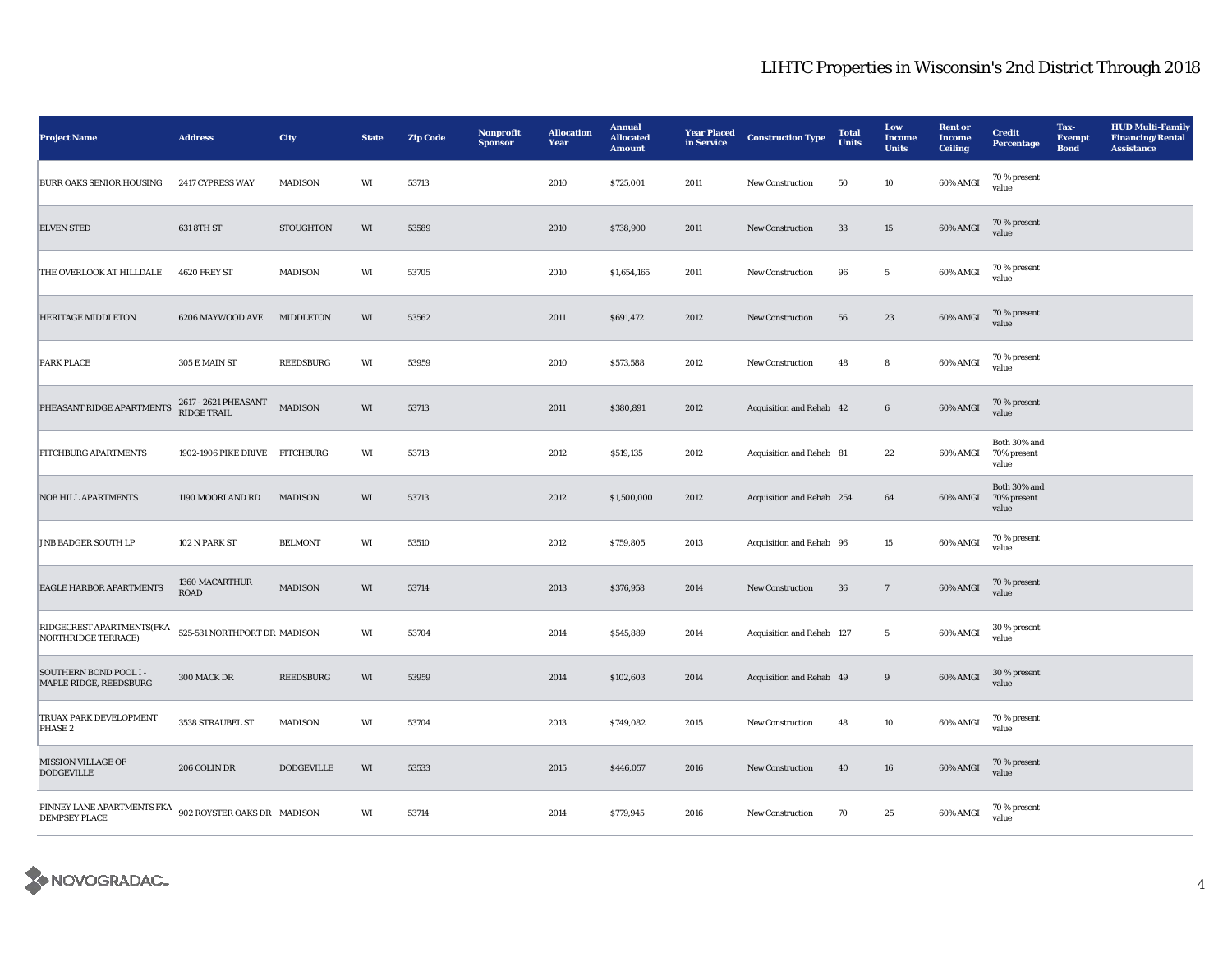| <b>Project Name</b>                                     | <b>Address</b>                      | City              | <b>State</b> | <b>Zip Code</b> | Nonprofit<br><b>Sponsor</b> | <b>Allocation</b><br>Year | <b>Annual</b><br><b>Allocated</b><br><b>Amount</b> | <b>Year Placed</b><br>in Service | <b>Construction Type</b>  | <b>Total</b><br><b>Units</b> | Low<br><b>Income</b><br><b>Units</b> | <b>Rent</b> or<br><b>Income</b><br><b>Ceiling</b> | <b>Credit</b><br><b>Percentage</b>   | Tax-<br><b>Exempt</b><br><b>Bond</b> | <b>HUD Multi-Family</b><br><b>Financing/Rental</b><br><b>Assistance</b> |
|---------------------------------------------------------|-------------------------------------|-------------------|--------------|-----------------|-----------------------------|---------------------------|----------------------------------------------------|----------------------------------|---------------------------|------------------------------|--------------------------------------|---------------------------------------------------|--------------------------------------|--------------------------------------|-------------------------------------------------------------------------|
| <b>BURR OAKS SENIOR HOUSING</b>                         | 2417 CYPRESS WAY                    | MADISON           | WI           | 53713           |                             | 2010                      | \$725,001                                          | 2011                             | New Construction          | 50                           | 10                                   | 60% AMGI                                          | 70 % present<br>value                |                                      |                                                                         |
| <b>ELVEN STED</b>                                       | 631 8TH ST                          | <b>STOUGHTON</b>  | WI           | 53589           |                             | 2010                      | \$738,900                                          | 2011                             | New Construction          | 33                           | 15                                   | 60% AMGI                                          | 70 % present<br>value                |                                      |                                                                         |
| THE OVERLOOK AT HILLDALE                                | 4620 FREY ST                        | <b>MADISON</b>    | WI           | 53705           |                             | 2010                      | \$1,654,165                                        | 2011                             | <b>New Construction</b>   | 96                           | $5\phantom{.0}$                      | 60% AMGI                                          | 70 % present<br>value                |                                      |                                                                         |
| <b>HERITAGE MIDDLETON</b>                               | 6206 MAYWOOD AVE                    | MIDDLETON         | WI           | 53562           |                             | 2011                      | \$691,472                                          | 2012                             | <b>New Construction</b>   | 56                           | 23                                   | 60% AMGI                                          | 70 % present<br>value                |                                      |                                                                         |
| <b>PARK PLACE</b>                                       | 305 E MAIN ST                       | <b>REEDSBURG</b>  | WI           | 53959           |                             | 2010                      | \$573,588                                          | 2012                             | <b>New Construction</b>   | 48                           | 8                                    | 60% AMGI                                          | 70 % present<br>value                |                                      |                                                                         |
| PHEASANT RIDGE APARTMENTS                               | 2617 - 2621 PHEASANT<br>RIDGE TRAIL | <b>MADISON</b>    | WI           | 53713           |                             | 2011                      | \$380,891                                          | 2012                             | Acquisition and Rehab 42  |                              | $6\phantom{.0}$                      | 60% AMGI                                          | 70 % present<br>value                |                                      |                                                                         |
| <b>FITCHBURG APARTMENTS</b>                             | 1902-1906 PIKE DRIVE FITCHBURG      |                   | WI           | 53713           |                             | 2012                      | \$519,135                                          | 2012                             | Acquisition and Rehab 81  |                              | 22                                   | 60% AMGI                                          | Both 30% and<br>70% present<br>value |                                      |                                                                         |
| <b>NOB HILL APARTMENTS</b>                              | 1190 MOORLAND RD                    | <b>MADISON</b>    | WI           | 53713           |                             | 2012                      | \$1,500,000                                        | 2012                             | Acquisition and Rehab 254 |                              | 64                                   | 60% AMGI                                          | Both 30% and<br>70% present<br>value |                                      |                                                                         |
| <b>JNB BADGER SOUTH LP</b>                              | 102 N PARK ST                       | <b>BELMONT</b>    | WI           | 53510           |                             | 2012                      | \$759,805                                          | 2013                             | Acquisition and Rehab 96  |                              | 15                                   | 60% AMGI                                          | 70 % present<br>value                |                                      |                                                                         |
| <b>EAGLE HARBOR APARTMENTS</b>                          | 1360 MACARTHUR<br><b>ROAD</b>       | <b>MADISON</b>    | WI           | 53714           |                             | 2013                      | \$376,958                                          | 2014                             | <b>New Construction</b>   | 36                           | $7\phantom{.0}$                      | 60% AMGI                                          | 70 % present<br>value                |                                      |                                                                         |
| RIDGECREST APARTMENTS(FKA<br><b>NORTHRIDGE TERRACE)</b> | 525-531 NORTHPORT DR MADISON        |                   | WI           | 53704           |                             | 2014                      | \$545,889                                          | 2014                             | Acquisition and Rehab 127 |                              | $\overline{5}$                       | 60% AMGI                                          | 30 % present<br>value                |                                      |                                                                         |
| <b>SOUTHERN BOND POOL I-</b><br>MAPLE RIDGE, REEDSBURG  | 300 MACK DR                         | REEDSBURG         | WI           | 53959           |                             | 2014                      | \$102,603                                          | 2014                             | Acquisition and Rehab 49  |                              | 9                                    | 60% AMGI                                          | 30 % present<br>value                |                                      |                                                                         |
| <b>TRUAX PARK DEVELOPMENT</b><br>PHASE <sub>2</sub>     | 3538 STRAUBEL ST                    | <b>MADISON</b>    | WI           | 53704           |                             | 2013                      | \$749,082                                          | 2015                             | New Construction          | 48                           | 10                                   | 60% AMGI                                          | 70 % present<br>value                |                                      |                                                                         |
| <b>MISSION VILLAGE OF</b><br><b>DODGEVILLE</b>          | 206 COLIN DR                        | <b>DODGEVILLE</b> | WI           | 53533           |                             | 2015                      | \$446,057                                          | 2016                             | New Construction          | 40                           | ${\bf 16}$                           | 60% AMGI                                          | 70 % present<br>value                |                                      |                                                                         |
| PINNEY LANE APARTMENTS FKA<br><b>DEMPSEY PLACE</b>      | 902 ROYSTER OAKS DR MADISON         |                   | WI           | 53714           |                             | 2014                      | \$779,945                                          | 2016                             | New Construction          | 70                           | $\bf 25$                             | 60% AMGI                                          | 70 % present<br>value                |                                      |                                                                         |

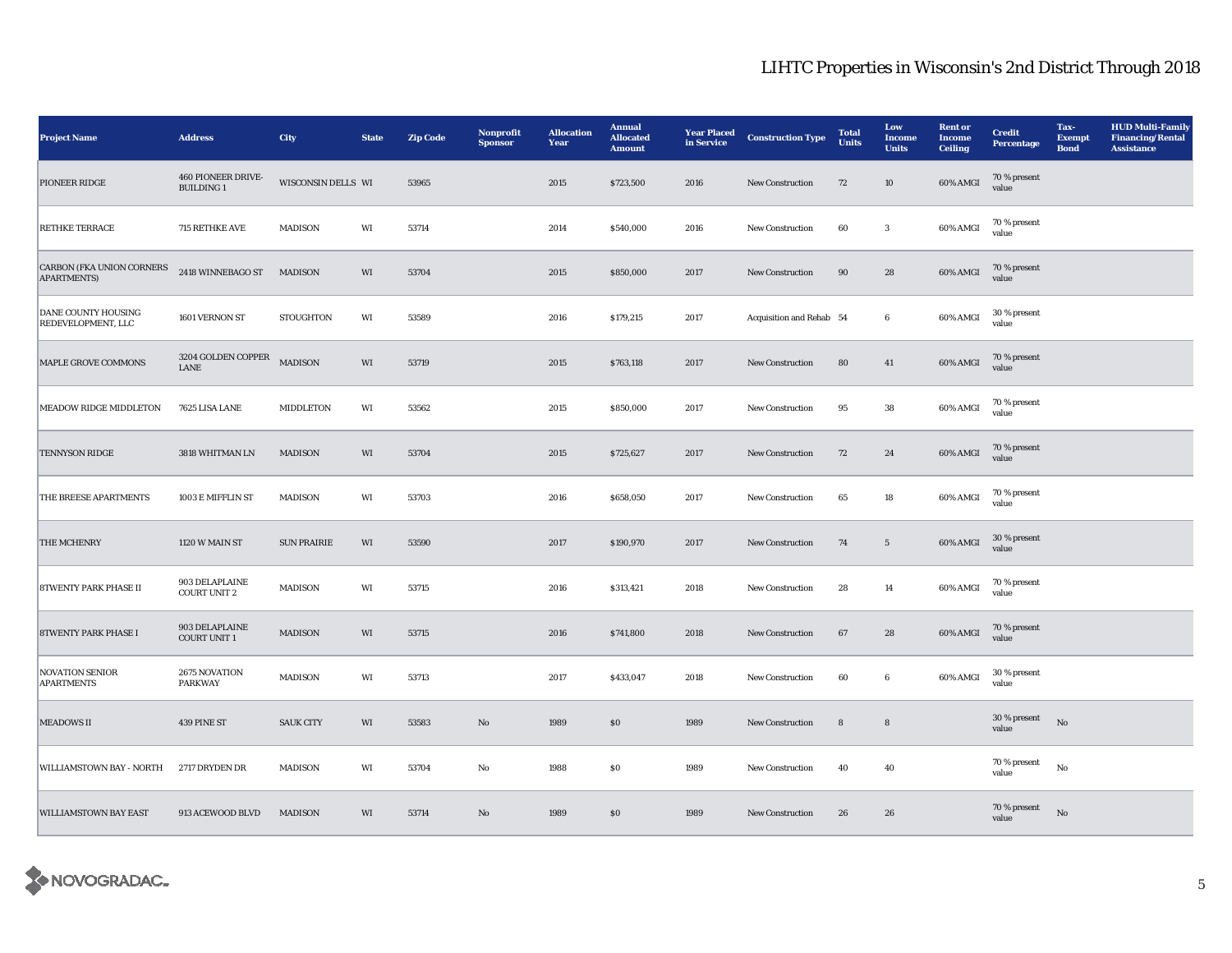| <b>Project Name</b>                                    | <b>Address</b>                          | City               | <b>State</b> | <b>Zip Code</b> | Nonprofit<br><b>Sponsor</b> | <b>Allocation</b><br>Year | <b>Annual</b><br><b>Allocated</b><br><b>Amount</b> | <b>Year Placed</b><br>in Service | <b>Construction Type</b> | <b>Total</b><br><b>Units</b> | Low<br><b>Income</b><br><b>Units</b> | <b>Rent or</b><br><b>Income</b><br><b>Ceiling</b> | <b>Credit</b><br>Percentage | Tax-<br><b>Exempt</b><br><b>Bond</b> | <b>HUD Multi-Family</b><br><b>Financing/Rental</b><br><b>Assistance</b> |
|--------------------------------------------------------|-----------------------------------------|--------------------|--------------|-----------------|-----------------------------|---------------------------|----------------------------------------------------|----------------------------------|--------------------------|------------------------------|--------------------------------------|---------------------------------------------------|-----------------------------|--------------------------------------|-------------------------------------------------------------------------|
| PIONEER RIDGE                                          | 460 PIONEER DRIVE-<br><b>BUILDING 1</b> | WISCONSIN DELLS WI |              | 53965           |                             | 2015                      | \$723,500                                          | 2016                             | <b>New Construction</b>  | 72                           | 10                                   | 60% AMGI                                          | 70 % present<br>value       |                                      |                                                                         |
| RETHKE TERRACE                                         | 715 RETHKE AVE                          | <b>MADISON</b>     | WI           | 53714           |                             | 2014                      | \$540,000                                          | 2016                             | New Construction         | 60                           | $\mathbf{3}$                         | 60% AMGI                                          | 70 % present<br>value       |                                      |                                                                         |
| <b>CARBON (FKA UNION CORNERS</b><br><b>APARTMENTS)</b> | 2418 WINNEBAGO ST                       | MADISON            | WI           | 53704           |                             | 2015                      | \$850,000                                          | 2017                             | <b>New Construction</b>  | 90                           | 28                                   | 60% AMGI                                          | 70 % present<br>value       |                                      |                                                                         |
| DANE COUNTY HOUSING<br>REDEVELOPMENT, LLC              | 1601 VERNON ST                          | <b>STOUGHTON</b>   | WI           | 53589           |                             | 2016                      | \$179,215                                          | 2017                             | Acquisition and Rehab 54 |                              | $6\phantom{.0}$                      | 60% AMGI                                          | 30 % present<br>value       |                                      |                                                                         |
| MAPLE GROVE COMMONS                                    | 3204 GOLDEN COPPER<br>LANE              | <b>MADISON</b>     | WI           | 53719           |                             | 2015                      | \$763,118                                          | 2017                             | New Construction         | ${\bf 80}$                   | 41                                   | 60% AMGI                                          | 70 % present<br>value       |                                      |                                                                         |
| MEADOW RIDGE MIDDLETON                                 | 7625 LISA LANE                          | MIDDLETON          | WI           | 53562           |                             | 2015                      | \$850,000                                          | 2017                             | <b>New Construction</b>  | 95                           | 38                                   | 60% AMGI                                          | 70 % present<br>value       |                                      |                                                                         |
| <b>TENNYSON RIDGE</b>                                  | 3818 WHITMAN LN                         | MADISON            | WI           | 53704           |                             | 2015                      | \$725,627                                          | 2017                             | New Construction         | 72                           | 24                                   | 60% AMGI                                          | 70 % present<br>value       |                                      |                                                                         |
| THE BREESE APARTMENTS                                  | 1003 E MIFFLIN ST                       | MADISON            | WI           | 53703           |                             | 2016                      | \$658,050                                          | 2017                             | New Construction         | 65                           | 18                                   | 60% AMGI                                          | 70 % present<br>value       |                                      |                                                                         |
| <b>THE MCHENRY</b>                                     | 1120 W MAIN ST                          | <b>SUN PRAIRIE</b> | WI           | 53590           |                             | 2017                      | \$190,970                                          | 2017                             | <b>New Construction</b>  | 74                           | $5\overline{ }$                      | 60% AMGI                                          | 30 % present<br>value       |                                      |                                                                         |
| <b>8TWENTY PARK PHASE II</b>                           | 903 DELAPLAINE<br><b>COURT UNIT 2</b>   | <b>MADISON</b>     | WI           | 53715           |                             | 2016                      | \$313,421                                          | 2018                             | <b>New Construction</b>  | 28                           | 14                                   | 60% AMGI                                          | 70 % present<br>value       |                                      |                                                                         |
| <b>8TWENTY PARK PHASE I</b>                            | 903 DELAPLAINE<br><b>COURT UNIT 1</b>   | <b>MADISON</b>     | WI           | 53715           |                             | 2016                      | \$741,800                                          | 2018                             | New Construction         | 67                           | 28                                   | 60% AMGI                                          | 70 % present<br>value       |                                      |                                                                         |
| <b>NOVATION SENIOR</b><br><b>APARTMENTS</b>            | 2675 NOVATION<br><b>PARKWAY</b>         | MADISON            | WI           | 53713           |                             | 2017                      | \$433,047                                          | 2018                             | <b>New Construction</b>  | 60                           | $6\phantom{.0}$                      | 60% AMGI                                          | 30 % present<br>value       |                                      |                                                                         |
| <b>MEADOWS II</b>                                      | 439 PINE ST                             | <b>SAUK CITY</b>   | WI           | 53583           | No                          | 1989                      | ${\bf S0}$                                         | 1989                             | New Construction         | $\bf8$                       | $\bf8$                               |                                                   | 30 % present<br>value       | No                                   |                                                                         |
| <b>WILLIAMSTOWN BAY - NORTH</b>                        | 2717 DRYDEN DR                          | MADISON            | WI           | 53704           | No                          | 1988                      | ${\bf S0}$                                         | 1989                             | <b>New Construction</b>  | 40                           | 40                                   |                                                   | 70 % present<br>value       | No                                   |                                                                         |
| <b>WILLIAMSTOWN BAY EAST</b>                           | 913 ACEWOOD BLVD                        | <b>MADISON</b>     | WI           | 53714           | No                          | 1989                      | \$0\$                                              | 1989                             | <b>New Construction</b>  | 26                           | 26                                   |                                                   | 70 % present<br>value       | No                                   |                                                                         |

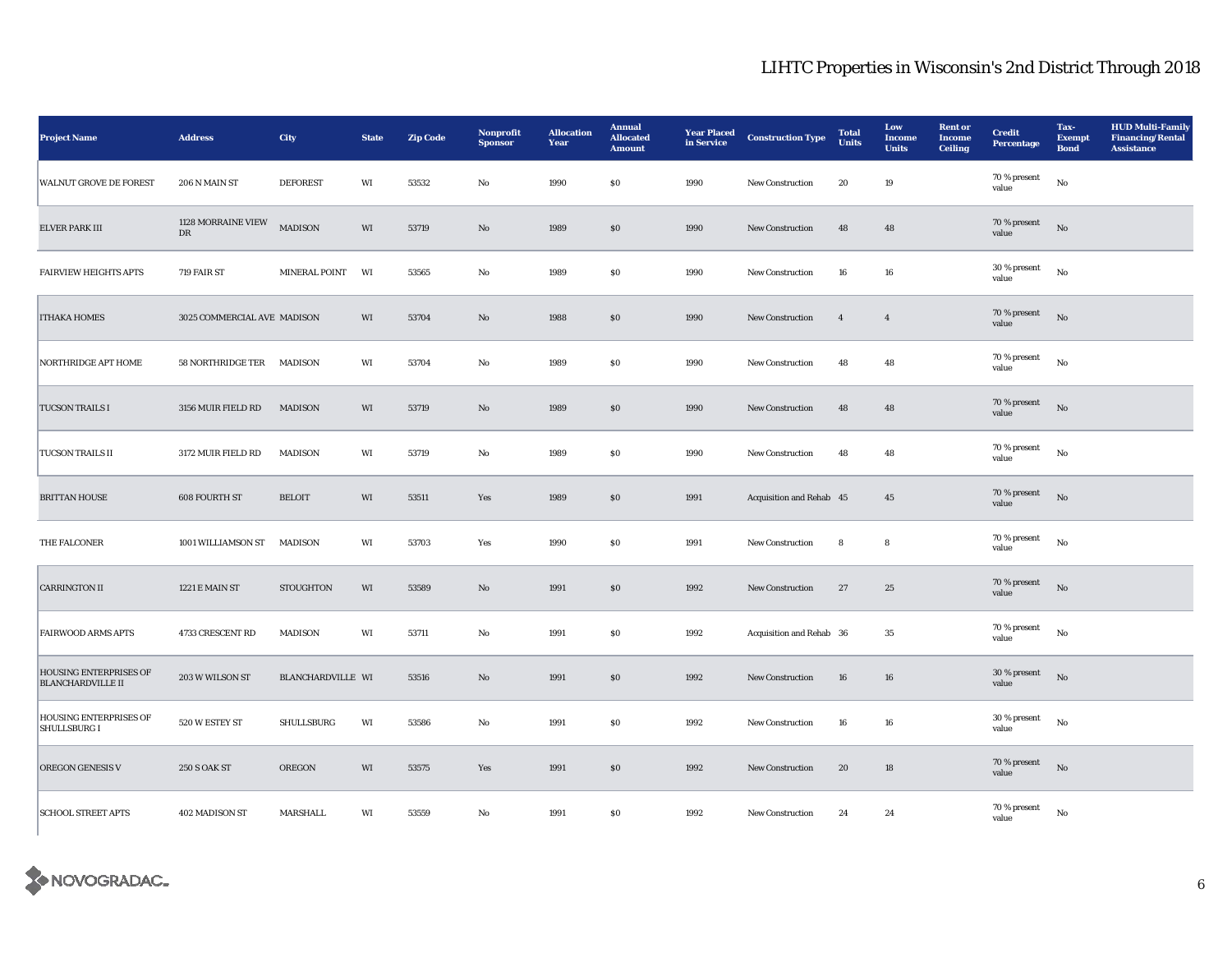| <b>Project Name</b>                                       | <b>Address</b>                   | City              | <b>State</b> | <b>Zip Code</b> | Nonprofit<br><b>Sponsor</b> | <b>Allocation</b><br>Year | <b>Annual</b><br><b>Allocated</b><br><b>Amount</b> | <b>Year Placed</b><br>in Service | <b>Construction Type</b> | <b>Total</b><br>Units | Low<br><b>Income</b><br><b>Units</b> | <b>Rent</b> or<br><b>Income</b><br><b>Ceiling</b> | <b>Credit</b><br><b>Percentage</b> | Tax-<br><b>Exempt</b><br><b>Bond</b> | <b>HUD Multi-Family</b><br><b>Financing/Rental</b><br><b>Assistance</b> |
|-----------------------------------------------------------|----------------------------------|-------------------|--------------|-----------------|-----------------------------|---------------------------|----------------------------------------------------|----------------------------------|--------------------------|-----------------------|--------------------------------------|---------------------------------------------------|------------------------------------|--------------------------------------|-------------------------------------------------------------------------|
| <b>WALNUT GROVE DE FOREST</b>                             | 206 N MAIN ST                    | <b>DEFOREST</b>   | WI           | 53532           | No                          | 1990                      | $\$0$                                              | 1990                             | New Construction         | 20                    | 19                                   |                                                   | 70 % present<br>value              | $_{\rm No}$                          |                                                                         |
| <b>ELVER PARK III</b>                                     | 1128 MORRAINE VIEW<br>${\rm DR}$ | <b>MADISON</b>    | WI           | 53719           | $\rm No$                    | 1989                      | $\bf{S0}$                                          | 1990                             | New Construction         | 48                    | 48                                   |                                                   | 70 % present<br>value              | $_{\rm No}$                          |                                                                         |
| <b>FAIRVIEW HEIGHTS APTS</b>                              | 719 FAIR ST                      | MINERAL POINT     | WI           | 53565           | $_{\rm No}$                 | 1989                      | $\$0$                                              | 1990                             | New Construction         | ${\bf 16}$            | 16                                   |                                                   | 30 % present<br>value              | $_{\rm No}$                          |                                                                         |
| <b>ITHAKA HOMES</b>                                       | 3025 COMMERCIAL AVE MADISON      |                   | WI           | 53704           | $\mathbf{N}\mathbf{o}$      | 1988                      | $\$0$                                              | 1990                             | New Construction         | $\overline{4}$        | $\overline{4}$                       |                                                   | 70 % present<br>value              | $_{\rm No}$                          |                                                                         |
| NORTHRIDGE APT HOME                                       | 58 NORTHRIDGE TER MADISON        |                   | WI           | 53704           | No                          | 1989                      | $\$0$                                              | 1990                             | New Construction         | 48                    | 48                                   |                                                   | 70 % present<br>value              | $_{\rm No}$                          |                                                                         |
| <b>TUCSON TRAILS I</b>                                    | 3156 MUIR FIELD RD               | MADISON           | WI           | 53719           | $\mathbf{N}\mathbf{o}$      | 1989                      | \$0\$                                              | 1990                             | <b>New Construction</b>  | 48                    | 48                                   |                                                   | 70 % present<br>value              | $\rm \bf No$                         |                                                                         |
| <b>TUCSON TRAILS II</b>                                   | 3172 MUIR FIELD RD               | MADISON           | WI           | 53719           | No                          | 1989                      | $\boldsymbol{\mathsf{S}}\boldsymbol{\mathsf{O}}$   | 1990                             | New Construction         | 48                    | 48                                   |                                                   | 70 % present<br>value              | No                                   |                                                                         |
| <b>BRITTAN HOUSE</b>                                      | <b>608 FOURTH ST</b>             | <b>BELOIT</b>     | WI           | 53511           | Yes                         | 1989                      | $\$0$                                              | 1991                             | Acquisition and Rehab 45 |                       | 45                                   |                                                   | 70 % present<br>value              | $_{\rm No}$                          |                                                                         |
| THE FALCONER                                              | 1001 WILLIAMSON ST               | MADISON           | WI           | 53703           | Yes                         | 1990                      | $\$0$                                              | 1991                             | New Construction         | 8                     | 8                                    |                                                   | 70 % present<br>value              | No                                   |                                                                         |
| <b>CARRINGTON II</b>                                      | 1221 E MAIN ST                   | <b>STOUGHTON</b>  | WI           | 53589           | No                          | 1991                      | \$0                                                | 1992                             | New Construction         | 27                    | 25                                   |                                                   | 70 % present<br>value              | No                                   |                                                                         |
| <b>FAIRWOOD ARMS APTS</b>                                 | 4733 CRESCENT RD                 | MADISON           | WI           | 53711           | No                          | 1991                      | ${\bf S0}$                                         | 1992                             | Acquisition and Rehab 36 |                       | 35                                   |                                                   | 70 % present<br>value              | No                                   |                                                                         |
| <b>HOUSING ENTERPRISES OF</b><br><b>BLANCHARDVILLE II</b> | 203 W WILSON ST                  | BLANCHARDVILLE WI |              | 53516           | No                          | 1991                      | \$0\$                                              | 1992                             | New Construction         | 16                    | 16                                   |                                                   | 30 % present<br>value              | No                                   |                                                                         |
| <b>HOUSING ENTERPRISES OF</b><br><b>SHULLSBURG I</b>      | 520 W ESTEY ST                   | SHULLSBURG        | WI           | 53586           | No                          | 1991                      | $\boldsymbol{\mathsf{S}}\boldsymbol{\mathsf{O}}$   | 1992                             | New Construction         | 16                    | 16                                   |                                                   | 30 % present<br>value              | No                                   |                                                                         |
| OREGON GENESIS V                                          | <b>250 S OAK ST</b>              | OREGON            | WI           | 53575           | Yes                         | 1991                      | $\boldsymbol{\mathsf{S}}\boldsymbol{\mathsf{O}}$   | 1992                             | New Construction         | 20                    | ${\bf 18}$                           |                                                   | 70 % present<br>value              | $\rm \bf No$                         |                                                                         |
| <b>SCHOOL STREET APTS</b>                                 | 402 MADISON ST                   | MARSHALL          | WI           | 53559           | No                          | 1991                      | $\$0$                                              | 1992                             | New Construction         | 24                    | 24                                   |                                                   | 70 % present<br>value              | $\rm No$                             |                                                                         |

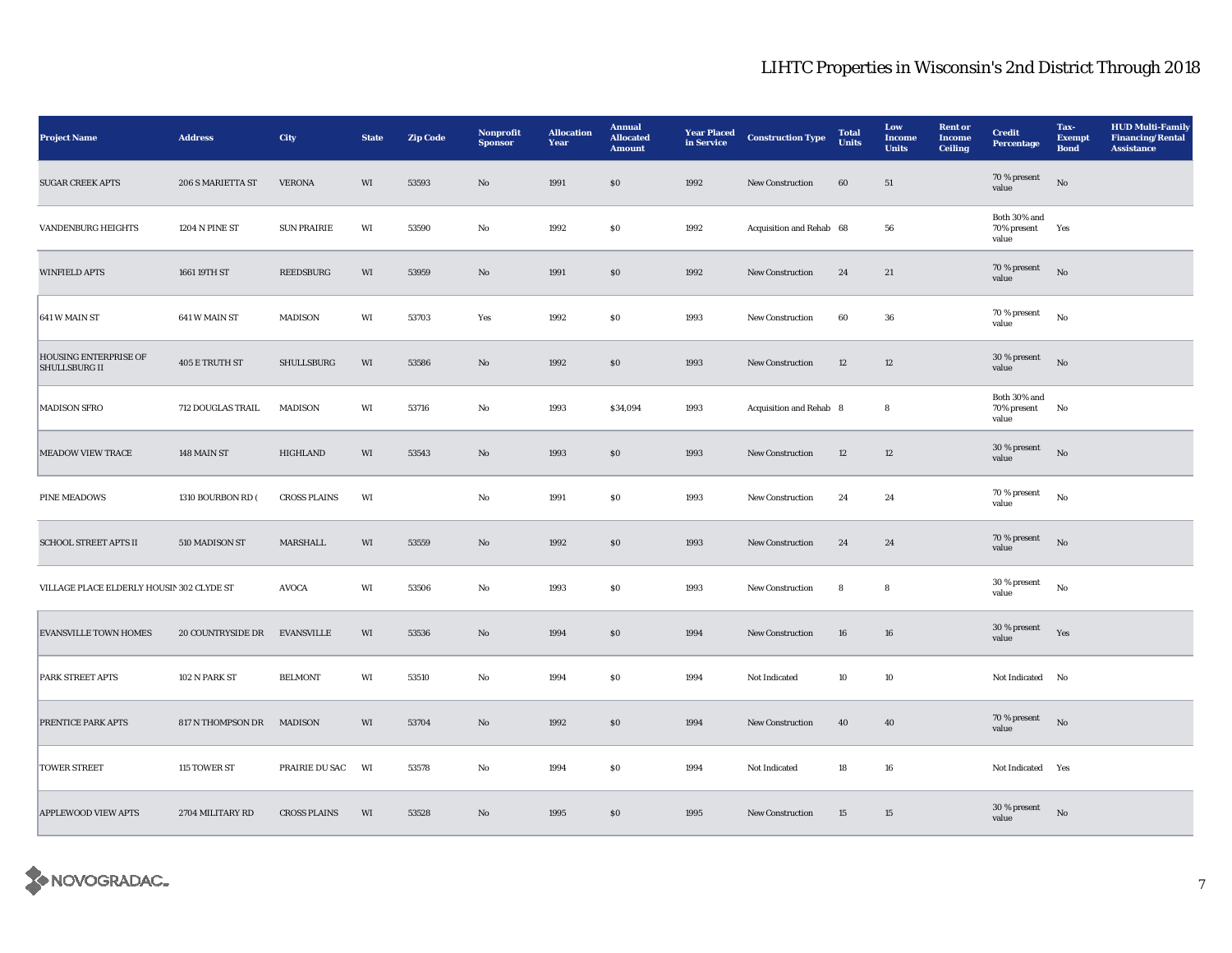| <b>Project Name</b>                           | <b>Address</b>            | City                | <b>State</b> | <b>Zip Code</b> | Nonprofit<br><b>Sponsor</b> | <b>Allocation</b><br>Year | <b>Annual</b><br><b>Allocated</b><br><b>Amount</b> | <b>Year Placed</b><br>in Service | <b>Construction Type</b> | <b>Total</b><br>Units | Low<br>Income<br><b>Units</b> | <b>Rent</b> or<br><b>Income</b><br><b>Ceiling</b> | <b>Credit</b><br><b>Percentage</b>   | Tax-<br><b>Exempt</b><br><b>Bond</b> | <b>HUD Multi-Family</b><br><b>Financing/Rental</b><br><b>Assistance</b> |
|-----------------------------------------------|---------------------------|---------------------|--------------|-----------------|-----------------------------|---------------------------|----------------------------------------------------|----------------------------------|--------------------------|-----------------------|-------------------------------|---------------------------------------------------|--------------------------------------|--------------------------------------|-------------------------------------------------------------------------|
| <b>SUGAR CREEK APTS</b>                       | 206 S MARIETTA ST         | <b>VERONA</b>       | WI           | 53593           | No                          | 1991                      | S <sub>0</sub>                                     | 1992                             | <b>New Construction</b>  | 60                    | 51                            |                                                   | 70 % present<br>value                | No                                   |                                                                         |
| <b>VANDENBURG HEIGHTS</b>                     | 1204 N PINE ST            | <b>SUN PRAIRIE</b>  | WI           | 53590           | No                          | 1992                      | ${\bf S0}$                                         | 1992                             | Acquisition and Rehab 68 |                       | 56                            |                                                   | Both 30% and<br>70% present<br>value | Yes                                  |                                                                         |
| <b>WINFIELD APTS</b>                          | 1661 19TH ST              | <b>REEDSBURG</b>    | WI           | 53959           | No                          | 1991                      | \$0\$                                              | 1992                             | <b>New Construction</b>  | 24                    | 21                            |                                                   | 70 % present<br>value                | No                                   |                                                                         |
| 641 W MAIN ST                                 | 641 W MAIN ST             | MADISON             | WI           | 53703           | Yes                         | 1992                      | $\$0$                                              | 1993                             | New Construction         | 60                    | 36                            |                                                   | 70 % present<br>value                | $_{\rm No}$                          |                                                                         |
| HOUSING ENTERPRISE OF<br><b>SHULLSBURG II</b> | 405 E TRUTH ST            | SHULLSBURG          | WI           | 53586           | $\mathbf{N}\mathbf{o}$      | 1992                      | $\boldsymbol{\mathsf{S}}\boldsymbol{\mathsf{O}}$   | 1993                             | New Construction         | 12                    | 12                            |                                                   | 30 % present<br>value                | $_{\rm No}$                          |                                                                         |
| <b>MADISON SFRO</b>                           | 712 DOUGLAS TRAIL         | MADISON             | WI           | 53716           | No                          | 1993                      | \$34,094                                           | 1993                             | Acquisition and Rehab 8  |                       | 8                             |                                                   | Both 30% and<br>70% present<br>value | No                                   |                                                                         |
| <b>MEADOW VIEW TRACE</b>                      | 148 MAIN ST               | HIGHLAND            | WI           | 53543           | No                          | 1993                      | $\$0$                                              | 1993                             | New Construction         | 12                    | 12                            |                                                   | 30 % present<br>value                | No                                   |                                                                         |
| <b>PINE MEADOWS</b>                           | 1310 BOURBON RD (         | <b>CROSS PLAINS</b> | WI           |                 | No                          | 1991                      | ${\bf S0}$                                         | 1993                             | New Construction         | 24                    | $\bf{24}$                     |                                                   | 70 % present<br>value                | $_{\rm No}$                          |                                                                         |
| <b>SCHOOL STREET APTS II</b>                  | 510 MADISON ST            | MARSHALL            | WI           | 53559           | $\mathbf{N}\mathbf{o}$      | 1992                      | $\$0$                                              | 1993                             | <b>New Construction</b>  | 24                    | 24                            |                                                   | 70 % present<br>value                | No                                   |                                                                         |
| VILLAGE PLACE ELDERLY HOUSIN 302 CLYDE ST     |                           | <b>AVOCA</b>        | WI           | 53506           | No                          | 1993                      | \$0\$                                              | 1993                             | New Construction         | 8                     | 8                             |                                                   | 30 % present<br>value                | $_{\rm No}$                          |                                                                         |
| <b>EVANSVILLE TOWN HOMES</b>                  | <b>20 COUNTRYSIDE DR</b>  | <b>EVANSVILLE</b>   | WI           | 53536           | $\mathbf{N}\mathbf{o}$      | 1994                      | \$0\$                                              | 1994                             | <b>New Construction</b>  | 16                    | 16                            |                                                   | 30 % present<br>value                | Yes                                  |                                                                         |
| <b>PARK STREET APTS</b>                       | 102 N PARK ST             | <b>BELMONT</b>      | WI           | 53510           | No                          | 1994                      | $\$0$                                              | 1994                             | Not Indicated            | 10                    | 10                            |                                                   | Not Indicated No                     |                                      |                                                                         |
| PRENTICE PARK APTS                            | 817 N THOMPSON DR MADISON |                     | WI           | 53704           | $\mathbf{N}\mathbf{o}$      | 1992                      | ${\bf S0}$                                         | 1994                             | New Construction         | 40                    | 40                            |                                                   | 70 % present<br>value                | $\mathbf{N}\mathbf{o}$               |                                                                         |
| <b>TOWER STREET</b>                           | 115 TOWER ST              | PRAIRIE DU SAC      | WI           | 53578           | No                          | 1994                      | $\$0$                                              | 1994                             | Not Indicated            | 18                    | ${\bf 16}$                    |                                                   | Not Indicated Yes                    |                                      |                                                                         |
| <b>APPLEWOOD VIEW APTS</b>                    | 2704 MILITARY RD          | <b>CROSS PLAINS</b> | WI           | 53528           | No                          | 1995                      | \$0\$                                              | 1995                             | <b>New Construction</b>  | 15                    | 15                            |                                                   | 30 % present<br>value                | No                                   |                                                                         |

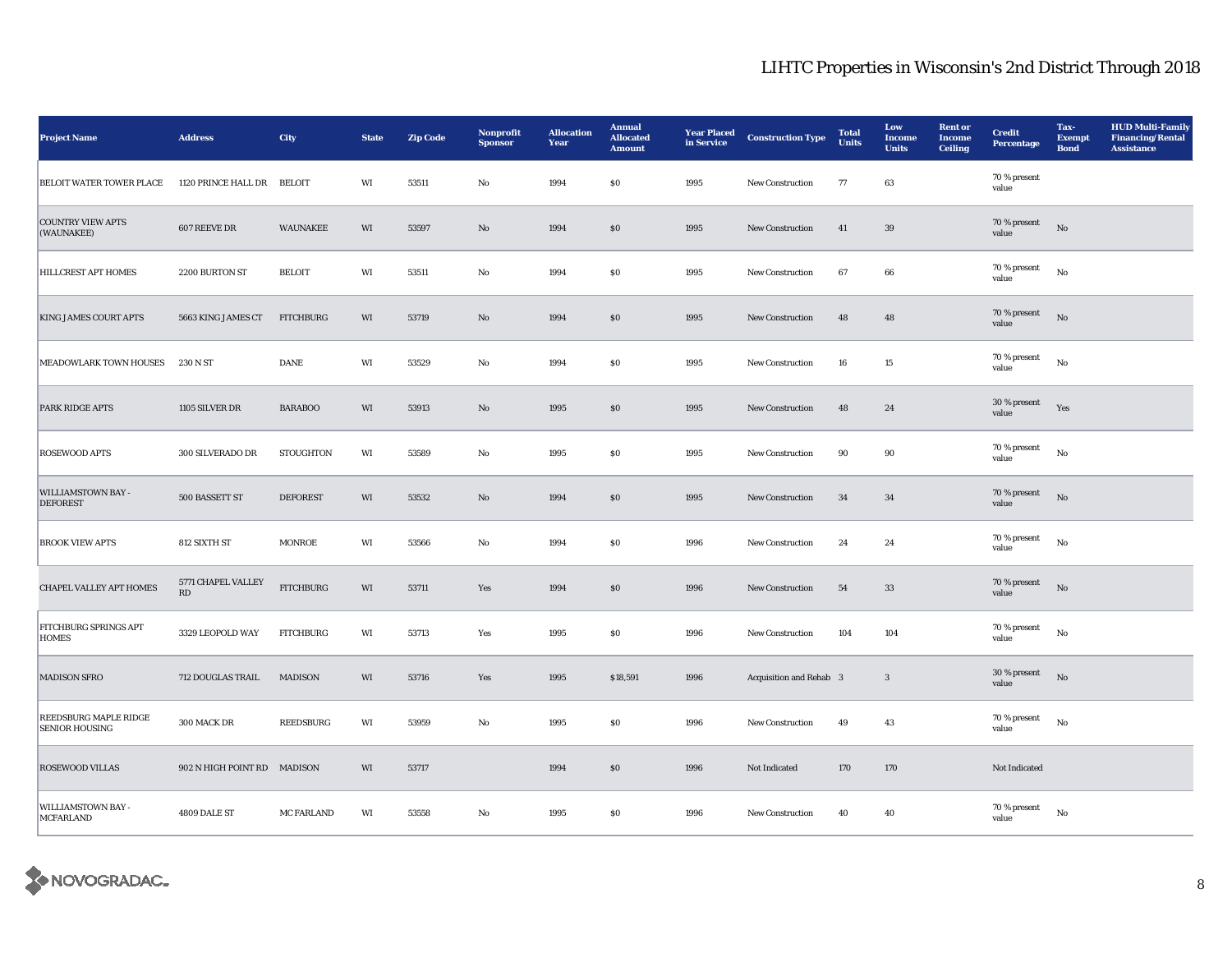| <b>Project Name</b>                                   | <b>Address</b>              | City              | <b>State</b> | <b>Zip Code</b> | Nonprofit<br><b>Sponsor</b> | <b>Allocation</b><br>Year | <b>Annual</b><br><b>Allocated</b><br><b>Amount</b> | <b>Year Placed</b><br>in Service | <b>Construction Type</b> | <b>Total</b><br><b>Units</b> | Low<br><b>Income</b><br><b>Units</b> | <b>Rent or</b><br><b>Income</b><br><b>Ceiling</b> | <b>Credit</b><br><b>Percentage</b> | Tax-<br><b>Exempt</b><br><b>Bond</b> | <b>HUD Multi-Family</b><br><b>Financing/Rental</b><br><b>Assistance</b> |
|-------------------------------------------------------|-----------------------------|-------------------|--------------|-----------------|-----------------------------|---------------------------|----------------------------------------------------|----------------------------------|--------------------------|------------------------------|--------------------------------------|---------------------------------------------------|------------------------------------|--------------------------------------|-------------------------------------------------------------------------|
| <b>BELOIT WATER TOWER PLACE</b>                       | 1120 PRINCE HALL DR         | <b>BELOIT</b>     | WI           | 53511           | No                          | 1994                      | \$0                                                | 1995                             | <b>New Construction</b>  | 77                           | 63                                   |                                                   | 70 % present<br>value              |                                      |                                                                         |
| <b>COUNTRY VIEW APTS</b><br>(WAUNAKEE)                | 607 REEVE DR                | <b>WAUNAKEE</b>   | WI           | 53597           | $\mathbf{N}\mathbf{o}$      | 1994                      | $\$0$                                              | 1995                             | New Construction         | 41                           | $39\,$                               |                                                   | 70 % present<br>value              | $_{\rm No}$                          |                                                                         |
| <b>HILLCREST APT HOMES</b>                            | 2200 BURTON ST              | <b>BELOIT</b>     | WI           | 53511           | No                          | 1994                      | $\$0$                                              | 1995                             | New Construction         | 67                           | 66                                   |                                                   | 70 % present<br>value              | No                                   |                                                                         |
| <b>KING JAMES COURT APTS</b>                          | 5663 KING JAMES CT          | <b>FITCHBURG</b>  | WI           | 53719           | $\mathbf{N}\mathbf{o}$      | 1994                      | $\$0$                                              | 1995                             | New Construction         | 48                           | 48                                   |                                                   | 70 % present<br>value              | $_{\rm No}$                          |                                                                         |
| MEADOWLARK TOWN HOUSES                                | 230 N ST                    | DANE              | WI           | 53529           | $\mathbf{No}$               | 1994                      | ${\bf S0}$                                         | 1995                             | New Construction         | 16                           | $15\,$                               |                                                   | 70 % present<br>value              | $_{\rm No}$                          |                                                                         |
| <b>PARK RIDGE APTS</b>                                | 1105 SILVER DR              | <b>BARABOO</b>    | WI           | 53913           | $\mathbf{N}\mathbf{o}$      | 1995                      | \$0                                                | 1995                             | <b>New Construction</b>  | 48                           | 24                                   |                                                   | 30 % present<br>value              | Yes                                  |                                                                         |
| <b>ROSEWOOD APTS</b>                                  | 300 SILVERADO DR            | <b>STOUGHTON</b>  | WI           | 53589           | No                          | 1995                      | \$0                                                | 1995                             | <b>New Construction</b>  | 90                           | 90                                   |                                                   | 70 % present<br>value              | No                                   |                                                                         |
| WILLIAMSTOWN BAY -<br><b>DEFOREST</b>                 | 500 BASSETT ST              | <b>DEFOREST</b>   | WI           | 53532           | $\mathbf{No}$               | 1994                      | \$0                                                | 1995                             | New Construction         | 34                           | 34                                   |                                                   | 70 % present<br>value              | $\rm No$                             |                                                                         |
| <b>BROOK VIEW APTS</b>                                | 812 SIXTH ST                | <b>MONROE</b>     | WI           | 53566           | No                          | 1994                      | \$0                                                | 1996                             | <b>New Construction</b>  | 24                           | 24                                   |                                                   | 70 % present<br>value              | No                                   |                                                                         |
| CHAPEL VALLEY APT HOMES                               | 5771 CHAPEL VALLEY<br>RD    | <b>FITCHBURG</b>  | WI           | 53711           | Yes                         | 1994                      | $\$0$                                              | 1996                             | <b>New Construction</b>  | ${\bf 54}$                   | 33                                   |                                                   | 70 % present<br>value              | $_{\rm No}$                          |                                                                         |
| <b>FITCHBURG SPRINGS APT</b><br><b>HOMES</b>          | 3329 LEOPOLD WAY            | <b>FITCHBURG</b>  | WI           | 53713           | Yes                         | 1995                      | $\$0$                                              | 1996                             | <b>New Construction</b>  | 104                          | 104                                  |                                                   | 70 % present<br>value              | No                                   |                                                                         |
| <b>MADISON SFRO</b>                                   | 712 DOUGLAS TRAIL           | <b>MADISON</b>    | WI           | 53716           | Yes                         | 1995                      | \$18,591                                           | 1996                             | Acquisition and Rehab 3  |                              | $\mathbf{3}$                         |                                                   | 30 % present<br>value              | No                                   |                                                                         |
| <b>REEDSBURG MAPLE RIDGE</b><br><b>SENIOR HOUSING</b> | 300 MACK DR                 | REEDSBURG         | WI           | 53959           | $_{\rm No}$                 | 1995                      | $\$0$                                              | 1996                             | New Construction         | 49                           | 43                                   |                                                   | 70 % present<br>value              | No                                   |                                                                         |
| <b>ROSEWOOD VILLAS</b>                                | 902 N HIGH POINT RD MADISON |                   | WI           | 53717           |                             | 1994                      | \$0                                                | 1996                             | Not Indicated            | 170                          | 170                                  |                                                   | Not Indicated                      |                                      |                                                                         |
| <b>WILLIAMSTOWN BAY -</b><br>MCFARLAND                | 4809 DALE ST                | <b>MC FARLAND</b> | WI           | 53558           | No                          | 1995                      | \$0                                                | 1996                             | <b>New Construction</b>  | 40                           | 40                                   |                                                   | 70 % present<br>value              | No                                   |                                                                         |

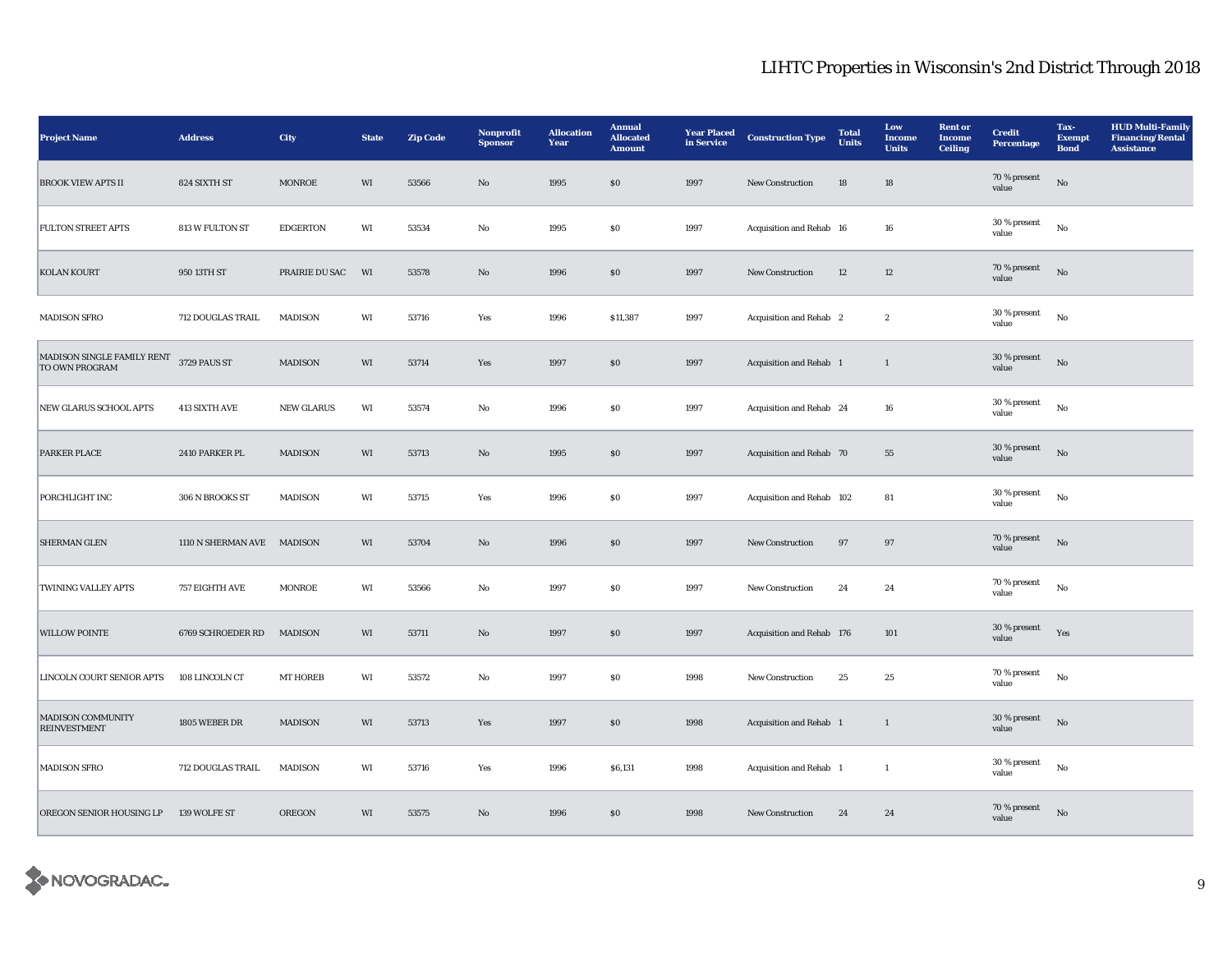| <b>Project Name</b>                                       | <b>Address</b>             | City            | <b>State</b> | <b>Zip Code</b> | Nonprofit<br><b>Sponsor</b> | <b>Allocation</b><br>Year | <b>Annual</b><br><b>Allocated</b><br><b>Amount</b> | <b>Year Placed</b><br>in Service | <b>Construction Type</b>  | <b>Total</b><br><b>Units</b> | Low<br>Income<br><b>Units</b> | <b>Rent</b> or<br><b>Income</b><br><b>Ceiling</b> | <b>Credit</b><br><b>Percentage</b> | Tax-<br><b>Exempt</b><br><b>Bond</b> | <b>HUD Multi-Family</b><br><b>Financing/Rental</b><br><b>Assistance</b> |
|-----------------------------------------------------------|----------------------------|-----------------|--------------|-----------------|-----------------------------|---------------------------|----------------------------------------------------|----------------------------------|---------------------------|------------------------------|-------------------------------|---------------------------------------------------|------------------------------------|--------------------------------------|-------------------------------------------------------------------------|
| <b>BROOK VIEW APTS II</b>                                 | 824 SIXTH ST               | <b>MONROE</b>   | WI           | 53566           | No                          | 1995                      | $\boldsymbol{\mathsf{S}}\boldsymbol{\mathsf{O}}$   | 1997                             | New Construction          | 18                           | 18                            |                                                   | 70 % present<br>value              | $\mathbf{N}\mathbf{o}$               |                                                                         |
| <b>FULTON STREET APTS</b>                                 | 813 W FULTON ST            | <b>EDGERTON</b> | WI           | 53534           | No                          | 1995                      | <b>SO</b>                                          | 1997                             | Acquisition and Rehab 16  |                              | 16                            |                                                   | 30 % present<br>value              | No                                   |                                                                         |
| <b>KOLAN KOURT</b>                                        | 950 13TH ST                | PRAIRIE DU SAC  | WI           | 53578           | $\mathbf{No}$               | 1996                      | \$0                                                | 1997                             | New Construction          | 12                           | 12                            |                                                   | 70 % present<br>value              | $_{\rm No}$                          |                                                                         |
| <b>MADISON SFRO</b>                                       | 712 DOUGLAS TRAIL          | MADISON         | WI           | 53716           | Yes                         | 1996                      | \$11,387                                           | 1997                             | Acquisition and Rehab 2   |                              | $\boldsymbol{2}$              |                                                   | 30 % present<br>value              | No                                   |                                                                         |
| MADISON SINGLE FAMILY RENT 3729 PAUS ST<br>TO OWN PROGRAM |                            | MADISON         | WI           | 53714           | Yes                         | 1997                      | \$0                                                | 1997                             | Acquisition and Rehab 1   |                              | $\mathbf{1}$                  |                                                   | 30 % present<br>value              | $_{\rm No}$                          |                                                                         |
| NEW GLARUS SCHOOL APTS                                    | 413 SIXTH AVE              | NEW GLARUS      | WI           | 53574           | $_{\rm No}$                 | 1996                      | $\$0$                                              | 1997                             | Acquisition and Rehab 24  |                              | 16                            |                                                   | 30 % present<br>value              | $_{\rm No}$                          |                                                                         |
| <b>PARKER PLACE</b>                                       | 2410 PARKER PL             | <b>MADISON</b>  | WI           | 53713           | $\mathbf{N}\mathbf{o}$      | 1995                      | $\$0$                                              | 1997                             | Acquisition and Rehab 70  |                              | 55                            |                                                   | 30 % present<br>value              | No                                   |                                                                         |
| PORCHLIGHT INC                                            | 306 N BROOKS ST            | MADISON         | WI           | 53715           | Yes                         | 1996                      | <b>SO</b>                                          | 1997                             | Acquisition and Rehab 102 |                              | 81                            |                                                   | 30 % present<br>value              | No                                   |                                                                         |
| <b>SHERMAN GLEN</b>                                       | 1110 N SHERMAN AVE MADISON |                 | WI           | 53704           | $\mathbf{N}\mathbf{o}$      | 1996                      | \$0                                                | 1997                             | New Construction          | 97                           | 97                            |                                                   | 70 % present<br>value              | $_{\rm No}$                          |                                                                         |
| TWINING VALLEY APTS                                       | 757 EIGHTH AVE             | <b>MONROE</b>   | WI           | 53566           | No                          | 1997                      | \$0\$                                              | 1997                             | <b>New Construction</b>   | 24                           | 24                            |                                                   | 70 % present<br>value              | No                                   |                                                                         |
| <b>WILLOW POINTE</b>                                      | 6769 SCHROEDER RD          | <b>MADISON</b>  | WI           | 53711           | $\mathbf{No}$               | 1997                      | $\$0$                                              | 1997                             | Acquisition and Rehab 176 |                              | 101                           |                                                   | 30 % present<br>value              | Yes                                  |                                                                         |
| <b>LINCOLN COURT SENIOR APTS</b>                          | 108 LINCOLN CT             | <b>MT HOREB</b> | WI           | 53572           | No                          | 1997                      | <b>SO</b>                                          | 1998                             | <b>New Construction</b>   | 25                           | 25                            |                                                   | 70 % present<br>value              | $_{\rm No}$                          |                                                                         |
| <b>MADISON COMMUNITY</b><br><b>REINVESTMENT</b>           | 1805 WEBER DR              | MADISON         | WI           | 53713           | Yes                         | 1997                      | $\$0$                                              | 1998                             | Acquisition and Rehab 1   |                              | $\mathbf{1}$                  |                                                   | 30 % present<br>value              | No                                   |                                                                         |
| <b>MADISON SFRO</b>                                       | 712 DOUGLAS TRAIL          | MADISON         | WI           | 53716           | Yes                         | 1996                      | \$6,131                                            | 1998                             | Acquisition and Rehab 1   |                              | $\mathbf{1}$                  |                                                   | 30 % present<br>value              | No                                   |                                                                         |
| OREGON SENIOR HOUSING LP                                  | 139 WOLFE ST               | <b>OREGON</b>   | WI           | 53575           | No                          | 1996                      | \$0                                                | 1998                             | <b>New Construction</b>   | 24                           | 24                            |                                                   | 70 % present<br>value              | No                                   |                                                                         |

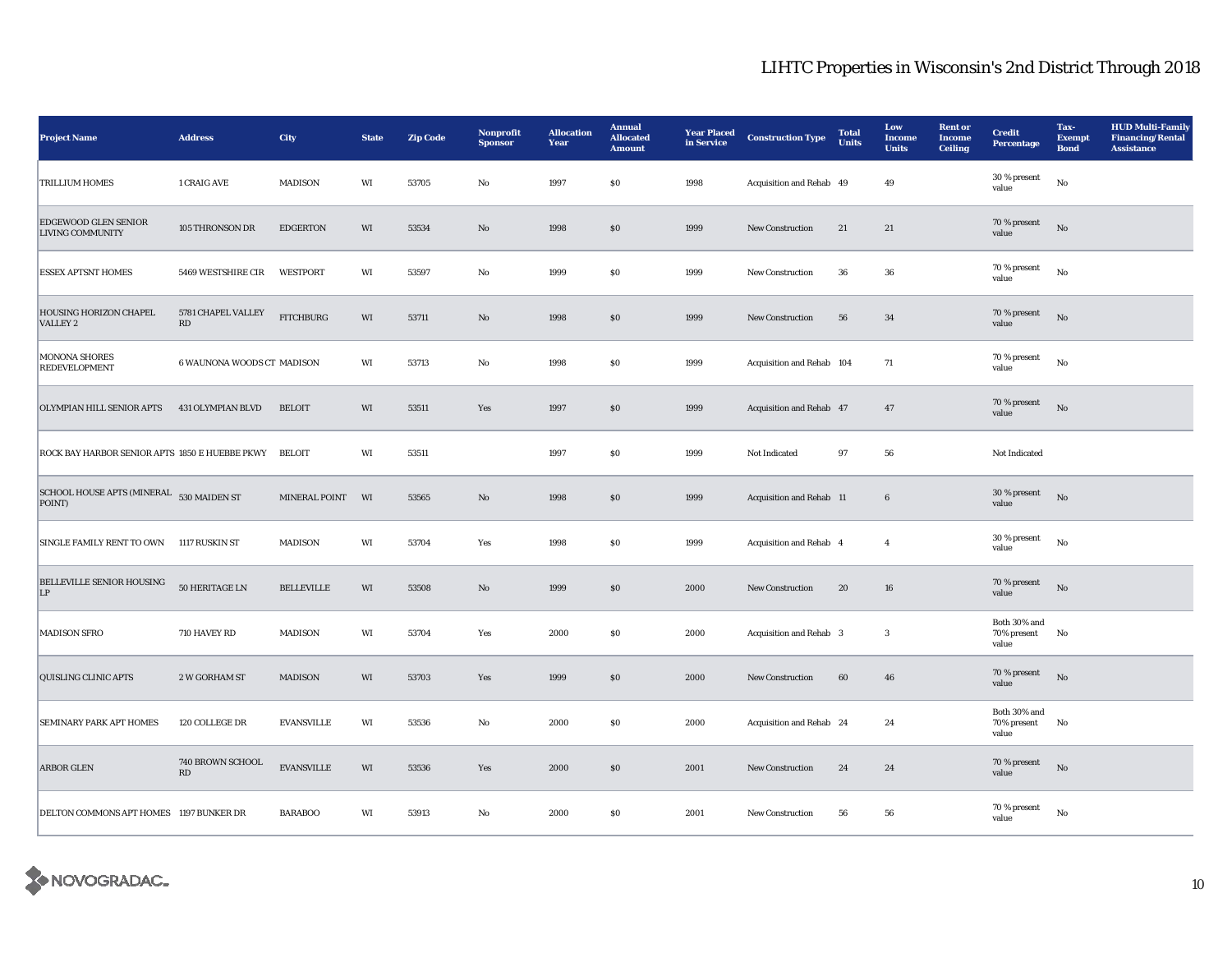| <b>Project Name</b>                                   | <b>Address</b>             | City              | <b>State</b> | <b>Zip Code</b> | Nonprofit<br><b>Sponsor</b> | <b>Allocation</b><br>Year | <b>Annual</b><br><b>Allocated</b><br><b>Amount</b> | <b>Year Placed</b><br>in Service | <b>Construction Type</b>  | <b>Total</b><br><b>Units</b> | Low<br><b>Income</b><br><b>Units</b> | <b>Rent or</b><br><b>Income</b><br><b>Ceiling</b> | <b>Credit</b><br>Percentage          | Tax-<br><b>Exempt</b><br><b>Bond</b> | <b>HUD Multi-Family</b><br><b>Financing/Rental</b><br><b>Assistance</b> |
|-------------------------------------------------------|----------------------------|-------------------|--------------|-----------------|-----------------------------|---------------------------|----------------------------------------------------|----------------------------------|---------------------------|------------------------------|--------------------------------------|---------------------------------------------------|--------------------------------------|--------------------------------------|-------------------------------------------------------------------------|
| <b>TRILLIUM HOMES</b>                                 | 1 CRAIG AVE                | <b>MADISON</b>    | WI           | 53705           | No                          | 1997                      | \$0                                                | 1998                             | Acquisition and Rehab 49  |                              | 49                                   |                                                   | 30 % present<br>value                | $_{\rm No}$                          |                                                                         |
| EDGEWOOD GLEN SENIOR<br><b>LIVING COMMUNITY</b>       | 105 THRONSON DR            | <b>EDGERTON</b>   | WI           | 53534           | $\mathbf{N}\mathbf{o}$      | 1998                      | $\$0$                                              | 1999                             | New Construction          | 21                           | 21                                   |                                                   | 70 % present<br>value                | No                                   |                                                                         |
| <b>ESSEX APTSNT HOMES</b>                             | 5469 WESTSHIRE CIR         | WESTPORT          | WI           | 53597           | No                          | 1999                      | $\$0$                                              | 1999                             | <b>New Construction</b>   | 36                           | 36                                   |                                                   | 70 % present<br>value                | No                                   |                                                                         |
| HOUSING HORIZON CHAPEL<br>VALLEY 2                    | 5781 CHAPEL VALLEY<br>RD   | <b>FITCHBURG</b>  | WI           | 53711           | $\mathbf{N}\mathbf{o}$      | 1998                      | \$0                                                | 1999                             | <b>New Construction</b>   | 56                           | 34                                   |                                                   | 70 % present<br>value                | No                                   |                                                                         |
| <b>MONONA SHORES</b><br><b>REDEVELOPMENT</b>          | 6 WAUNONA WOODS CT MADISON |                   | WI           | 53713           | No                          | 1998                      | S <sub>0</sub>                                     | 1999                             | Acquisition and Rehab 104 |                              | 71                                   |                                                   | 70 % present<br>value                | $_{\rm No}$                          |                                                                         |
| OLYMPIAN HILL SENIOR APTS                             | 431 OLYMPIAN BLVD          | <b>BELOIT</b>     | WI           | 53511           | Yes                         | 1997                      | $\$0$                                              | 1999                             | Acquisition and Rehab 47  |                              | 47                                   |                                                   | 70 % present<br>value                | $_{\rm No}$                          |                                                                         |
| ROCK BAY HARBOR SENIOR APTS 1850 E HUEBBE PKWY BELOIT |                            |                   | WI           | 53511           |                             | 1997                      | $\$0$                                              | 1999                             | Not Indicated             | 97                           | ${\bf 56}$                           |                                                   | Not Indicated                        |                                      |                                                                         |
| SCHOOL HOUSE APTS (MINERAL 530 MAIDEN ST<br>POINT)    |                            | MINERAL POINT     | WI           | 53565           | $\rm No$                    | 1998                      | $\$0$                                              | 1999                             | Acquisition and Rehab 11  |                              | $\bf 6$                              |                                                   | 30 % present<br>value                | $_{\rm No}$                          |                                                                         |
| SINGLE FAMILY RENT TO OWN 1117 RUSKIN ST              |                            | MADISON           | WI           | 53704           | Yes                         | 1998                      | $\$0$                                              | 1999                             | Acquisition and Rehab 4   |                              | $\overline{4}$                       |                                                   | 30 % present<br>value                | No                                   |                                                                         |
| BELLEVILLE SENIOR HOUSING<br>LP                       | 50 HERITAGE LN             | <b>BELLEVILLE</b> | WI           | 53508           | $\mathbf{N}\mathbf{o}$      | 1999                      | \$0                                                | 2000                             | <b>New Construction</b>   | 20                           | 16                                   |                                                   | 70 % present<br>value                | No                                   |                                                                         |
| <b>MADISON SFRO</b>                                   | 710 HAVEY RD               | <b>MADISON</b>    | WI           | 53704           | Yes                         | 2000                      | <b>SO</b>                                          | 2000                             | Acquisition and Rehab 3   |                              | 3                                    |                                                   | Both 30% and<br>70% present<br>value | No                                   |                                                                         |
| <b>QUISLING CLINIC APTS</b>                           | 2 W GORHAM ST              | MADISON           | WI           | 53703           | Yes                         | 1999                      | \$0                                                | 2000                             | New Construction          | 60                           | 46                                   |                                                   | 70 % present<br>value                | No                                   |                                                                         |
| <b>SEMINARY PARK APT HOMES</b>                        | 120 COLLEGE DR             | <b>EVANSVILLE</b> | WI           | 53536           | No                          | 2000                      | $\$0$                                              | 2000                             | Acquisition and Rehab 24  |                              | 24                                   |                                                   | Both 30% and<br>70% present<br>value | No                                   |                                                                         |
| <b>ARBOR GLEN</b>                                     | 740 BROWN SCHOOL<br>RD     | <b>EVANSVILLE</b> | WI           | 53536           | Yes                         | 2000                      | \$0                                                | 2001                             | <b>New Construction</b>   | 24                           | 24                                   |                                                   | 70 % present<br>value                | No                                   |                                                                         |
| DELTON COMMONS APT HOMES 1197 BUNKER DR               |                            | <b>BARABOO</b>    | WI           | 53913           | No                          | 2000                      | $\$0$                                              | 2001                             | New Construction          | 56                           | 56                                   |                                                   | 70 % present<br>value                | $_{\rm No}$                          |                                                                         |

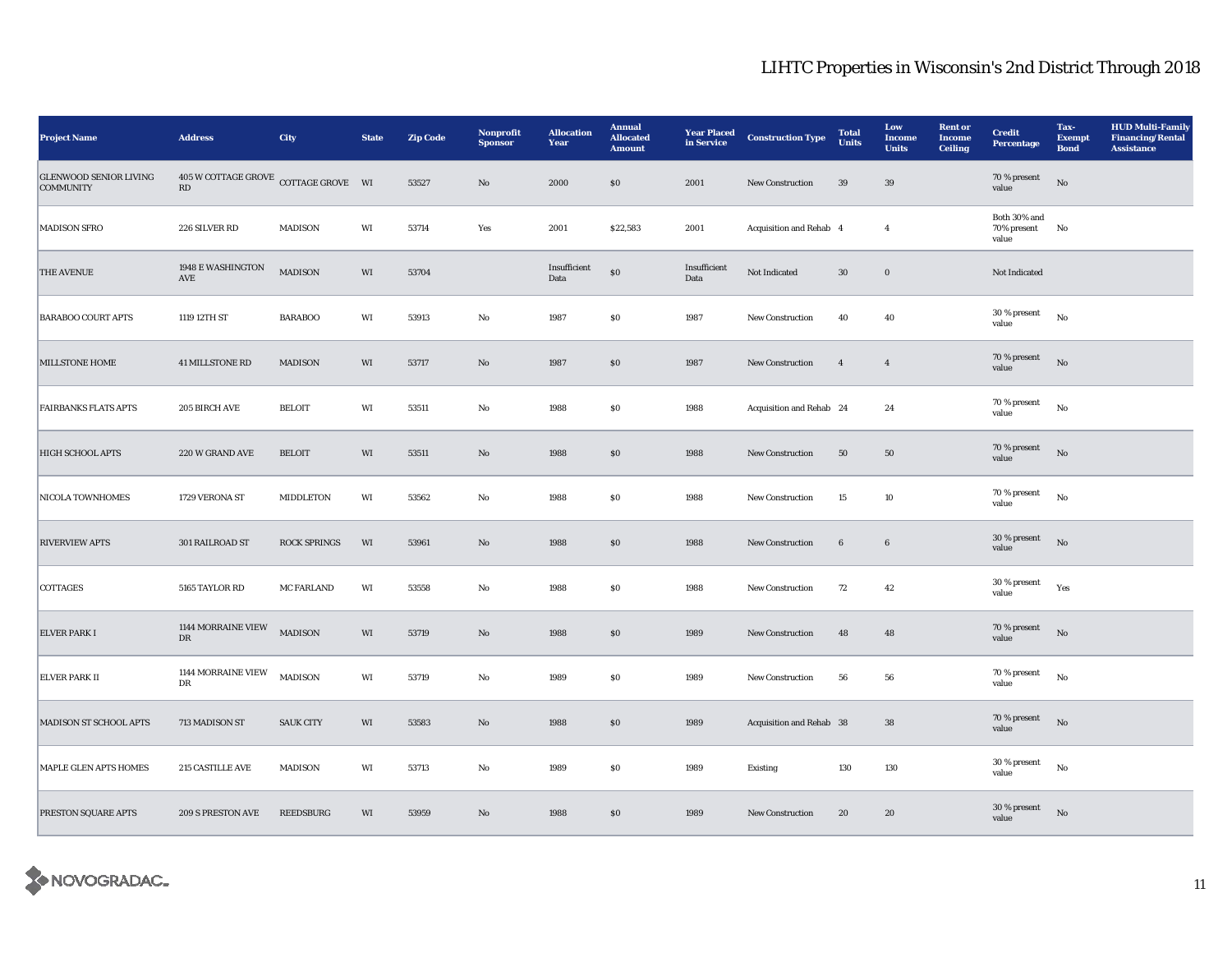| <b>Project Name</b>                               | <b>Address</b>                                     | City                | <b>State</b> | <b>Zip Code</b> | Nonprofit<br><b>Sponsor</b> | <b>Allocation</b><br>Year | <b>Annual</b><br><b>Allocated</b><br><b>Amount</b> | <b>Year Placed</b><br>in Service | <b>Construction Type</b> | <b>Total</b><br><b>Units</b> | Low<br><b>Income</b><br><b>Units</b> | <b>Rent or</b><br><b>Income</b><br><b>Ceiling</b> | <b>Credit</b><br>Percentage          | Tax-<br><b>Exempt</b><br><b>Bond</b> | <b>HUD Multi-Family</b><br><b>Financing/Rental</b><br><b>Assistance</b> |
|---------------------------------------------------|----------------------------------------------------|---------------------|--------------|-----------------|-----------------------------|---------------------------|----------------------------------------------------|----------------------------------|--------------------------|------------------------------|--------------------------------------|---------------------------------------------------|--------------------------------------|--------------------------------------|-------------------------------------------------------------------------|
| <b>GLENWOOD SENIOR LIVING</b><br><b>COMMUNITY</b> | $405\,\rm{W}$ COTTAGE GROVE COTTAGE GROVE WI<br>RD |                     |              | 53527           | $\rm No$                    | 2000                      | \$0                                                | 2001                             | <b>New Construction</b>  | 39                           | 39                                   |                                                   | 70 % present<br>value                | $\rm No$                             |                                                                         |
| <b>MADISON SFRO</b>                               | 226 SILVER RD                                      | <b>MADISON</b>      | WI           | 53714           | Yes                         | 2001                      | \$22,583                                           | 2001                             | Acquisition and Rehab 4  |                              | $\overline{4}$                       |                                                   | Both 30% and<br>70% present<br>value | No                                   |                                                                         |
| <b>THE AVENUE</b>                                 | 1948 E WASHINGTON<br>$\operatorname{AVE}$          | <b>MADISON</b>      | WI           | 53704           |                             | Insufficient<br>Data      | $\$0$                                              | Insufficient<br>Data             | Not Indicated            | $30\,$                       | $\boldsymbol{0}$                     |                                                   | Not Indicated                        |                                      |                                                                         |
| <b>BARABOO COURT APTS</b>                         | 1119 12TH ST                                       | <b>BARABOO</b>      | WI           | 53913           | $\rm No$                    | 1987                      | $\$0$                                              | 1987                             | New Construction         | 40                           | 40                                   |                                                   | 30 % present<br>value                | $_{\rm No}$                          |                                                                         |
| <b>MILLSTONE HOME</b>                             | <b>41 MILLSTONE RD</b>                             | <b>MADISON</b>      | WI           | 53717           | $\rm No$                    | 1987                      | SO                                                 | 1987                             | New Construction         | $\overline{4}$               | $\overline{4}$                       |                                                   | 70 % present<br>value                | $_{\rm No}$                          |                                                                         |
| <b>FAIRBANKS FLATS APTS</b>                       | <b>205 BIRCH AVE</b>                               | <b>BELOIT</b>       | WI           | 53511           | No                          | 1988                      | $\$0$                                              | 1988                             | Acquisition and Rehab 24 |                              | 24                                   |                                                   | 70 % present<br>value                | $_{\rm No}$                          |                                                                         |
| <b>HIGH SCHOOL APTS</b>                           | 220 W GRAND AVE                                    | <b>BELOIT</b>       | $\rm WI$     | 53511           | No                          | 1988                      | $\$0$                                              | 1988                             | New Construction         | 50                           | $50\,$                               |                                                   | 70 % present<br>value                | $_{\rm No}$                          |                                                                         |
| NICOLA TOWNHOMES                                  | 1729 VERONA ST                                     | MIDDLETON           | WI           | 53562           | $\rm No$                    | 1988                      | $\$0$                                              | 1988                             | New Construction         | 15                           | 10                                   |                                                   | 70 % present<br>value                | $_{\rm No}$                          |                                                                         |
| <b>RIVERVIEW APTS</b>                             | 301 RAILROAD ST                                    | <b>ROCK SPRINGS</b> | WI           | 53961           | $\rm No$                    | 1988                      | $\$0$                                              | 1988                             | New Construction         | $6\phantom{.}6$              | $6\phantom{.0}$                      |                                                   | 30 % present<br>value                | No                                   |                                                                         |
| COTTAGES                                          | 5165 TAYLOR RD                                     | <b>MC FARLAND</b>   | WI           | 53558           | No                          | 1988                      | $\$0$                                              | 1988                             | New Construction         | 72                           | 42                                   |                                                   | 30 % present<br>value                | Yes                                  |                                                                         |
| <b>ELVER PARK I</b>                               | 1144 MORRAINE VIEW<br>${\rm DR}$                   | <b>MADISON</b>      | WI           | 53719           | $\rm No$                    | 1988                      | \$0                                                | 1989                             | New Construction         | 48                           | 48                                   |                                                   | 70 % present<br>value                | $_{\rm No}$                          |                                                                         |
| <b>ELVER PARK II</b>                              | 1144 MORRAINE VIEW<br>DR                           | <b>MADISON</b>      | WI           | 53719           | $\rm No$                    | 1989                      | $\$0$                                              | 1989                             | New Construction         | ${\bf 56}$                   | ${\bf 56}$                           |                                                   | 70 % present<br>value                | $_{\rm No}$                          |                                                                         |
| <b>MADISON ST SCHOOL APTS</b>                     | 713 MADISON ST                                     | <b>SAUK CITY</b>    | WI           | 53583           | No                          | 1988                      | \$0                                                | 1989                             | Acquisition and Rehab 38 |                              | 38                                   |                                                   | 70 % present<br>value                | No                                   |                                                                         |
| MAPLE GLEN APTS HOMES                             | <b>215 CASTILLE AVE</b>                            | <b>MADISON</b>      | WI           | 53713           | No                          | 1989                      | $\$0$                                              | 1989                             | <b>Existing</b>          | 130                          | 130                                  |                                                   | 30 % present<br>value                | $_{\rm No}$                          |                                                                         |
| PRESTON SQUARE APTS                               | 209 S PRESTON AVE                                  | <b>REEDSBURG</b>    | $\rm WI$     | 53959           | No                          | 1988                      | \$0                                                | 1989                             | <b>New Construction</b>  | 20                           | 20                                   |                                                   | 30 % present<br>value                | $\rm No$                             |                                                                         |